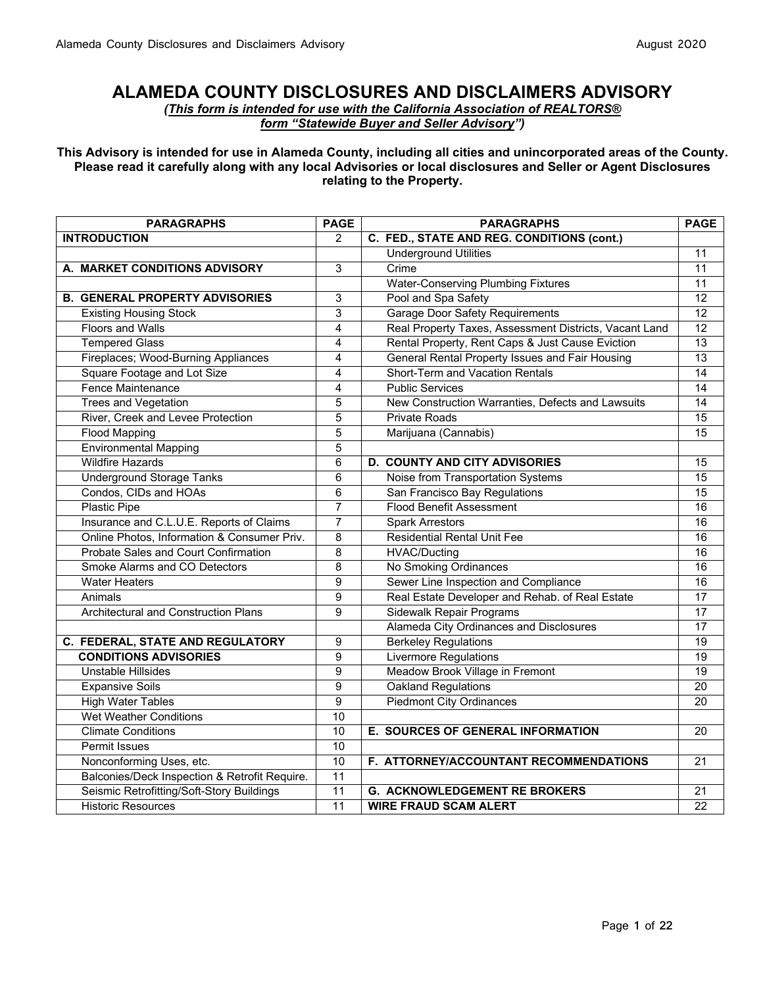### **ALAMEDA COUNTY DISCLOSURES AND DISCLAIMERS ADVISORY**

*(This form is intended for use with the California Association of REALTORS® form "Statewide Buyer and Seller Advisory")*

**This Advisory is intended for use in Alameda County, including all cities and unincorporated areas of the County. Please read it carefully along with any local Advisories or local disclosures and Seller or Agent Disclosures relating to the Property.**

| <b>PARAGRAPHS</b>                             | <b>PAGE</b>     | <b>PARAGRAPHS</b>                                      | <b>PAGE</b>     |
|-----------------------------------------------|-----------------|--------------------------------------------------------|-----------------|
| <b>INTRODUCTION</b>                           | 2               | C. FED., STATE AND REG. CONDITIONS (cont.)             |                 |
|                                               |                 | <b>Underground Utilities</b>                           | 11              |
| A. MARKET CONDITIONS ADVISORY                 | 3               | Crime                                                  | 11              |
|                                               |                 | <b>Water-Conserving Plumbing Fixtures</b>              | 11              |
| <b>B. GENERAL PROPERTY ADVISORIES</b>         | 3               | Pool and Spa Safety                                    | $\overline{12}$ |
| <b>Existing Housing Stock</b>                 | $\overline{3}$  | <b>Garage Door Safety Requirements</b>                 | 12              |
| <b>Floors and Walls</b>                       | 4               | Real Property Taxes, Assessment Districts, Vacant Land | 12              |
| <b>Tempered Glass</b>                         | 4               | Rental Property, Rent Caps & Just Cause Eviction       | 13              |
| Fireplaces; Wood-Burning Appliances           | $\overline{4}$  | General Rental Property Issues and Fair Housing        | $\overline{13}$ |
| Square Footage and Lot Size                   | 4               | <b>Short-Term and Vacation Rentals</b>                 | $\overline{14}$ |
| Fence Maintenance                             | 4               | <b>Public Services</b>                                 | $\overline{14}$ |
| <b>Trees and Vegetation</b>                   | 5               | New Construction Warranties, Defects and Lawsuits      | 14              |
| River, Creek and Levee Protection             | $\overline{5}$  | <b>Private Roads</b>                                   | 15              |
| <b>Flood Mapping</b>                          | 5               | Marijuana (Cannabis)                                   | $\overline{15}$ |
| <b>Environmental Mapping</b>                  | $\overline{5}$  |                                                        |                 |
| <b>Wildfire Hazards</b>                       | 6               | <b>D. COUNTY AND CITY ADVISORIES</b>                   | $\overline{15}$ |
| <b>Underground Storage Tanks</b>              | 6               | Noise from Transportation Systems                      | 15              |
| Condos, CIDs and HOAs                         | 6               | San Francisco Bay Regulations                          | 15              |
| <b>Plastic Pipe</b>                           | 7               | <b>Flood Benefit Assessment</b>                        | 16              |
| Insurance and C.L.U.E. Reports of Claims      | $\overline{7}$  | <b>Spark Arrestors</b>                                 | 16              |
| Online Photos, Information & Consumer Priv.   | $\overline{8}$  | <b>Residential Rental Unit Fee</b>                     | $\overline{16}$ |
| Probate Sales and Court Confirmation          | $\overline{8}$  | <b>HVAC/Ducting</b>                                    | $\overline{16}$ |
| Smoke Alarms and CO Detectors                 | 8               | No Smoking Ordinances                                  | 16              |
| <b>Water Heaters</b>                          | 9               | Sewer Line Inspection and Compliance                   | 16              |
| Animals                                       | 9               | Real Estate Developer and Rehab. of Real Estate        | $\overline{17}$ |
| <b>Architectural and Construction Plans</b>   | 9               | <b>Sidewalk Repair Programs</b>                        | 17              |
|                                               |                 | Alameda City Ordinances and Disclosures                | 17              |
| C. FEDERAL, STATE AND REGULATORY              | 9               | <b>Berkeley Regulations</b>                            | 19              |
| <b>CONDITIONS ADVISORIES</b>                  | 9               | <b>Livermore Regulations</b>                           | 19              |
| <b>Unstable Hillsides</b>                     | 9               | Meadow Brook Village in Fremont                        | $\overline{19}$ |
| <b>Expansive Soils</b>                        | 9               | Oakland Regulations                                    | 20              |
| <b>High Water Tables</b>                      | 9               | <b>Piedmont City Ordinances</b>                        | 20              |
| <b>Wet Weather Conditions</b>                 | $\overline{10}$ |                                                        |                 |
| <b>Climate Conditions</b>                     | 10              | <b>E. SOURCES OF GENERAL INFORMATION</b>               | 20              |
| Permit Issues                                 | $\overline{10}$ |                                                        |                 |
| Nonconforming Uses, etc.                      | 10              | F. ATTORNEY/ACCOUNTANT RECOMMENDATIONS                 | 21              |
| Balconies/Deck Inspection & Retrofit Require. | 11              |                                                        |                 |
| Seismic Retrofitting/Soft-Story Buildings     | 11              | <b>G. ACKNOWLEDGEMENT RE BROKERS</b>                   | 21              |
| <b>Historic Resources</b>                     | 11              | <b>WIRE FRAUD SCAM ALERT</b>                           | $\overline{22}$ |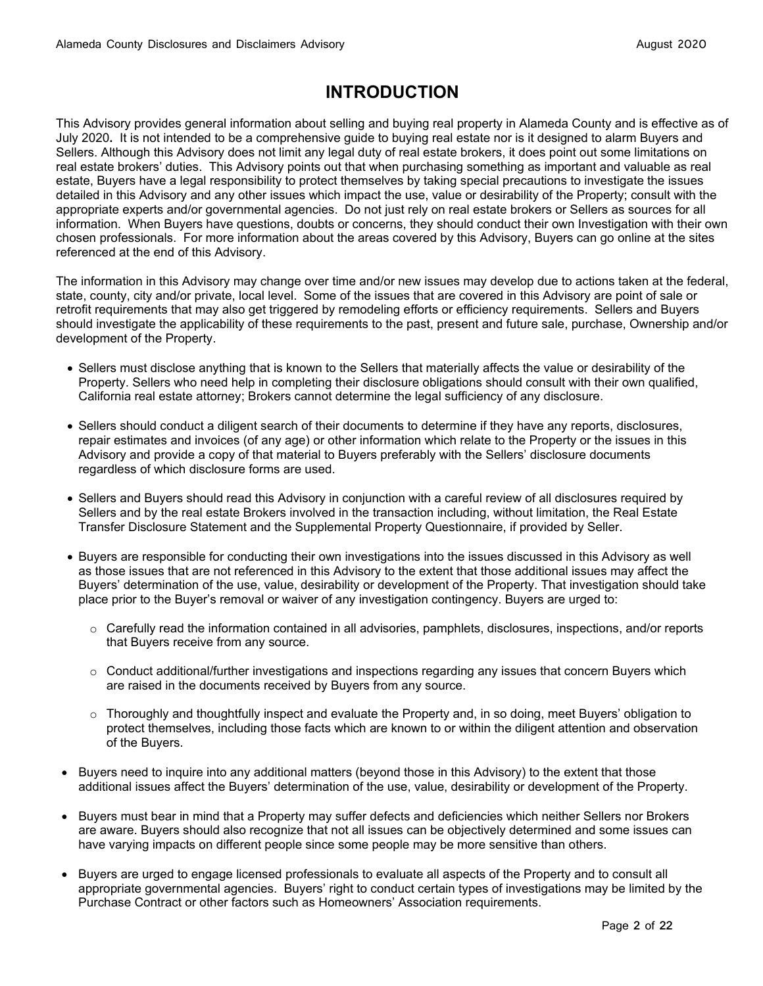## **INTRODUCTION**

This Advisory provides general information about selling and buying real property in Alameda County and is effective as of July 2020**.** It is not intended to be a comprehensive guide to buying real estate nor is it designed to alarm Buyers and Sellers. Although this Advisory does not limit any legal duty of real estate brokers, it does point out some limitations on real estate brokers' duties. This Advisory points out that when purchasing something as important and valuable as real estate, Buyers have a legal responsibility to protect themselves by taking special precautions to investigate the issues detailed in this Advisory and any other issues which impact the use, value or desirability of the Property; consult with the appropriate experts and/or governmental agencies. Do not just rely on real estate brokers or Sellers as sources for all information. When Buyers have questions, doubts or concerns, they should conduct their own Investigation with their own chosen professionals. For more information about the areas covered by this Advisory, Buyers can go online at the sites referenced at the end of this Advisory.

The information in this Advisory may change over time and/or new issues may develop due to actions taken at the federal, state, county, city and/or private, local level. Some of the issues that are covered in this Advisory are point of sale or retrofit requirements that may also get triggered by remodeling efforts or efficiency requirements. Sellers and Buyers should investigate the applicability of these requirements to the past, present and future sale, purchase, Ownership and/or development of the Property.

- Sellers must disclose anything that is known to the Sellers that materially affects the value or desirability of the Property. Sellers who need help in completing their disclosure obligations should consult with their own qualified, California real estate attorney; Brokers cannot determine the legal sufficiency of any disclosure.
- Sellers should conduct a diligent search of their documents to determine if they have any reports, disclosures, repair estimates and invoices (of any age) or other information which relate to the Property or the issues in this Advisory and provide a copy of that material to Buyers preferably with the Sellers' disclosure documents regardless of which disclosure forms are used.
- Sellers and Buyers should read this Advisory in conjunction with a careful review of all disclosures required by Sellers and by the real estate Brokers involved in the transaction including, without limitation, the Real Estate Transfer Disclosure Statement and the Supplemental Property Questionnaire, if provided by Seller.
- Buyers are responsible for conducting their own investigations into the issues discussed in this Advisory as well as those issues that are not referenced in this Advisory to the extent that those additional issues may affect the Buyers' determination of the use, value, desirability or development of the Property. That investigation should take place prior to the Buyer's removal or waiver of any investigation contingency. Buyers are urged to:
	- $\circ$  Carefully read the information contained in all advisories, pamphlets, disclosures, inspections, and/or reports that Buyers receive from any source.
	- $\circ$  Conduct additional/further investigations and inspections regarding any issues that concern Buyers which are raised in the documents received by Buyers from any source.
	- $\circ$  Thoroughly and thoughtfully inspect and evaluate the Property and, in so doing, meet Buyers' obligation to protect themselves, including those facts which are known to or within the diligent attention and observation of the Buyers.
- Buyers need to inquire into any additional matters (beyond those in this Advisory) to the extent that those additional issues affect the Buyers' determination of the use, value, desirability or development of the Property.
- Buyers must bear in mind that a Property may suffer defects and deficiencies which neither Sellers nor Brokers are aware. Buyers should also recognize that not all issues can be objectively determined and some issues can have varying impacts on different people since some people may be more sensitive than others.
- Buyers are urged to engage licensed professionals to evaluate all aspects of the Property and to consult all appropriate governmental agencies. Buyers' right to conduct certain types of investigations may be limited by the Purchase Contract or other factors such as Homeowners' Association requirements.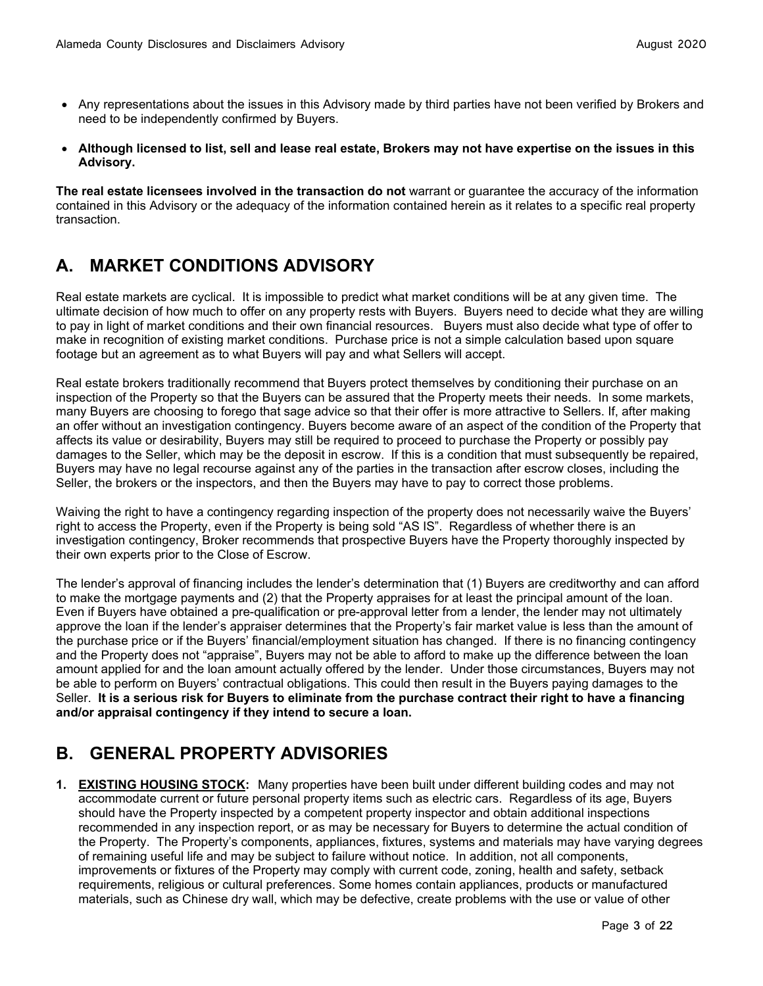- Any representations about the issues in this Advisory made by third parties have not been verified by Brokers and need to be independently confirmed by Buyers.
- **Although licensed to list, sell and lease real estate, Brokers may not have expertise on the issues in this Advisory.**

**The real estate licensees involved in the transaction do not** warrant or guarantee the accuracy of the information contained in this Advisory or the adequacy of the information contained herein as it relates to a specific real property transaction.

# **A. MARKET CONDITIONS ADVISORY**

Real estate markets are cyclical. It is impossible to predict what market conditions will be at any given time. The ultimate decision of how much to offer on any property rests with Buyers. Buyers need to decide what they are willing to pay in light of market conditions and their own financial resources. Buyers must also decide what type of offer to make in recognition of existing market conditions. Purchase price is not a simple calculation based upon square footage but an agreement as to what Buyers will pay and what Sellers will accept.

Real estate brokers traditionally recommend that Buyers protect themselves by conditioning their purchase on an inspection of the Property so that the Buyers can be assured that the Property meets their needs. In some markets, many Buyers are choosing to forego that sage advice so that their offer is more attractive to Sellers. If, after making an offer without an investigation contingency. Buyers become aware of an aspect of the condition of the Property that affects its value or desirability, Buyers may still be required to proceed to purchase the Property or possibly pay damages to the Seller, which may be the deposit in escrow. If this is a condition that must subsequently be repaired, Buyers may have no legal recourse against any of the parties in the transaction after escrow closes, including the Seller, the brokers or the inspectors, and then the Buyers may have to pay to correct those problems.

Waiving the right to have a contingency regarding inspection of the property does not necessarily waive the Buyers' right to access the Property, even if the Property is being sold "AS IS". Regardless of whether there is an investigation contingency, Broker recommends that prospective Buyers have the Property thoroughly inspected by their own experts prior to the Close of Escrow.

The lender's approval of financing includes the lender's determination that (1) Buyers are creditworthy and can afford to make the mortgage payments and (2) that the Property appraises for at least the principal amount of the loan. Even if Buyers have obtained a pre-qualification or pre-approval letter from a lender, the lender may not ultimately approve the loan if the lender's appraiser determines that the Property's fair market value is less than the amount of the purchase price or if the Buyers' financial/employment situation has changed. If there is no financing contingency and the Property does not "appraise", Buyers may not be able to afford to make up the difference between the loan amount applied for and the loan amount actually offered by the lender. Under those circumstances, Buyers may not be able to perform on Buyers' contractual obligations. This could then result in the Buyers paying damages to the Seller. **It is a serious risk for Buyers to eliminate from the purchase contract their right to have a financing and/or appraisal contingency if they intend to secure a loan.**

# **B. GENERAL PROPERTY ADVISORIES**

**1. EXISTING HOUSING STOCK:** Many properties have been built under different building codes and may not accommodate current or future personal property items such as electric cars. Regardless of its age, Buyers should have the Property inspected by a competent property inspector and obtain additional inspections recommended in any inspection report, or as may be necessary for Buyers to determine the actual condition of the Property. The Property's components, appliances, fixtures, systems and materials may have varying degrees of remaining useful life and may be subject to failure without notice. In addition, not all components, improvements or fixtures of the Property may comply with current code, zoning, health and safety, setback requirements, religious or cultural preferences. Some homes contain appliances, products or manufactured materials, such as Chinese dry wall, which may be defective, create problems with the use or value of other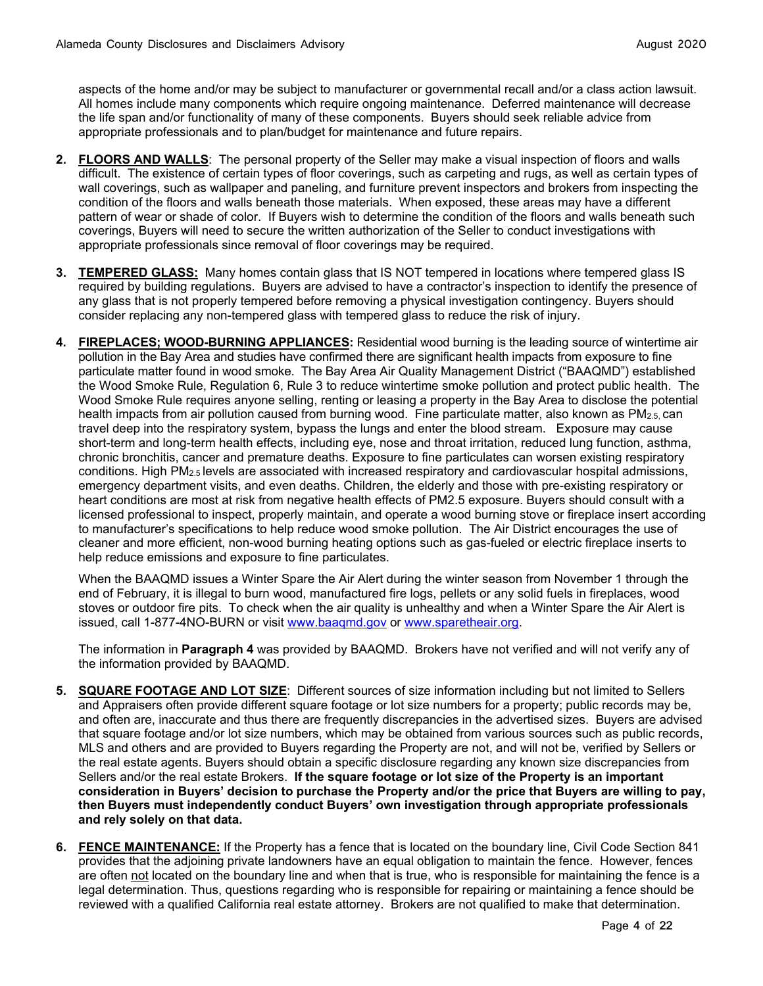aspects of the home and/or may be subject to manufacturer or governmental recall and/or a class action lawsuit. All homes include many components which require ongoing maintenance. Deferred maintenance will decrease the life span and/or functionality of many of these components. Buyers should seek reliable advice from appropriate professionals and to plan/budget for maintenance and future repairs.

- **2. FLOORS AND WALLS**: The personal property of the Seller may make a visual inspection of floors and walls difficult. The existence of certain types of floor coverings, such as carpeting and rugs, as well as certain types of wall coverings, such as wallpaper and paneling, and furniture prevent inspectors and brokers from inspecting the condition of the floors and walls beneath those materials. When exposed, these areas may have a different pattern of wear or shade of color. If Buyers wish to determine the condition of the floors and walls beneath such coverings, Buyers will need to secure the written authorization of the Seller to conduct investigations with appropriate professionals since removal of floor coverings may be required.
- **3. TEMPERED GLASS:** Many homes contain glass that IS NOT tempered in locations where tempered glass IS required by building regulations. Buyers are advised to have a contractor's inspection to identify the presence of any glass that is not properly tempered before removing a physical investigation contingency. Buyers should consider replacing any non-tempered glass with tempered glass to reduce the risk of injury.
- **4. FIREPLACES; WOOD-BURNING APPLIANCES:** Residential wood burning is the leading source of wintertime air pollution in the Bay Area and studies have confirmed there are significant health impacts from exposure to fine particulate matter found in wood smoke. The Bay Area Air Quality Management District ("BAAQMD") established the Wood Smoke Rule, Regulation 6, Rule 3 to reduce wintertime smoke pollution and protect public health. The Wood Smoke Rule requires anyone selling, renting or leasing a property in the Bay Area to disclose the potential health impacts from air pollution caused from burning wood. Fine particulate matter, also known as PM<sub>2.5</sub>, can travel deep into the respiratory system, bypass the lungs and enter the blood stream. Exposure may cause short-term and long-term health effects, including eye, nose and throat irritation, reduced lung function, asthma, chronic bronchitis, cancer and premature deaths. Exposure to fine particulates can worsen existing respiratory conditions. High PM2.5 levels are associated with increased respiratory and cardiovascular hospital admissions, emergency department visits, and even deaths. Children, the elderly and those with pre-existing respiratory or heart conditions are most at risk from negative health effects of PM2.5 exposure. Buyers should consult with a licensed professional to inspect, properly maintain, and operate a wood burning stove or fireplace insert according to manufacturer's specifications to help reduce wood smoke pollution. The Air District encourages the use of cleaner and more efficient, non-wood burning heating options such as gas-fueled or electric fireplace inserts to help reduce emissions and exposure to fine particulates.

When the BAAQMD issues a Winter Spare the Air Alert during the winter season from November 1 through the end of February, it is illegal to burn wood, manufactured fire logs, pellets or any solid fuels in fireplaces, wood stoves or outdoor fire pits. To check when the air quality is unhealthy and when a Winter Spare the Air Alert is issued, call 1-877-4NO-BURN or visit www.baaqmd.gov or www.sparetheair.org.

The information in **Paragraph 4** was provided by BAAQMD. Brokers have not verified and will not verify any of the information provided by BAAQMD.

- **5. SQUARE FOOTAGE AND LOT SIZE**: Different sources of size information including but not limited to Sellers and Appraisers often provide different square footage or lot size numbers for a property; public records may be, and often are, inaccurate and thus there are frequently discrepancies in the advertised sizes. Buyers are advised that square footage and/or lot size numbers, which may be obtained from various sources such as public records, MLS and others and are provided to Buyers regarding the Property are not, and will not be, verified by Sellers or the real estate agents. Buyers should obtain a specific disclosure regarding any known size discrepancies from Sellers and/or the real estate Brokers. **If the square footage or lot size of the Property is an important consideration in Buyers' decision to purchase the Property and/or the price that Buyers are willing to pay, then Buyers must independently conduct Buyers' own investigation through appropriate professionals and rely solely on that data.**
- **6. FENCE MAINTENANCE:** If the Property has a fence that is located on the boundary line, Civil Code Section 841 provides that the adjoining private landowners have an equal obligation to maintain the fence. However, fences are often not located on the boundary line and when that is true, who is responsible for maintaining the fence is a legal determination. Thus, questions regarding who is responsible for repairing or maintaining a fence should be reviewed with a qualified California real estate attorney. Brokers are not qualified to make that determination.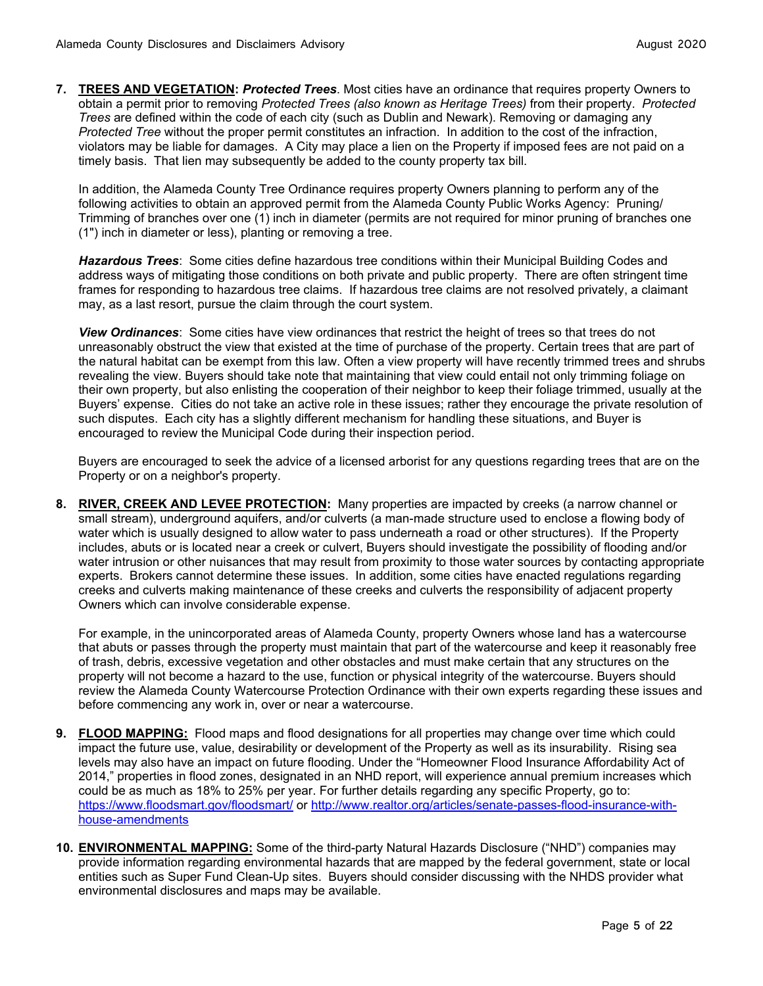**7. TREES AND VEGETATION:** *Protected Trees*. Most cities have an ordinance that requires property Owners to obtain a permit prior to removing *Protected Trees (also known as Heritage Trees)* from their property. *Protected Trees* are defined within the code of each city (such as Dublin and Newark). Removing or damaging any *Protected Tree* without the proper permit constitutes an infraction. In addition to the cost of the infraction, violators may be liable for damages. A City may place a lien on the Property if imposed fees are not paid on a timely basis. That lien may subsequently be added to the county property tax bill.

In addition, the Alameda County Tree Ordinance requires property Owners planning to perform any of the following activities to obtain an approved permit from the Alameda County Public Works Agency: Pruning/ Trimming of branches over one (1) inch in diameter (permits are not required for minor pruning of branches one (1") inch in diameter or less), planting or removing a tree.

*Hazardous Trees*: Some cities define hazardous tree conditions within their Municipal Building Codes and address ways of mitigating those conditions on both private and public property. There are often stringent time frames for responding to hazardous tree claims. If hazardous tree claims are not resolved privately, a claimant may, as a last resort, pursue the claim through the court system.

*View Ordinances*: Some cities have view ordinances that restrict the height of trees so that trees do not unreasonably obstruct the view that existed at the time of purchase of the property. Certain trees that are part of the natural habitat can be exempt from this law. Often a view property will have recently trimmed trees and shrubs revealing the view. Buyers should take note that maintaining that view could entail not only trimming foliage on their own property, but also enlisting the cooperation of their neighbor to keep their foliage trimmed, usually at the Buyers' expense. Cities do not take an active role in these issues; rather they encourage the private resolution of such disputes. Each city has a slightly different mechanism for handling these situations, and Buyer is encouraged to review the Municipal Code during their inspection period.

Buyers are encouraged to seek the advice of a licensed arborist for any questions regarding trees that are on the Property or on a neighbor's property.

**8. RIVER, CREEK AND LEVEE PROTECTION:** Many properties are impacted by creeks (a narrow channel or small stream), underground aquifers, and/or culverts (a man-made structure used to enclose a flowing body of water which is usually designed to allow water to pass underneath a road or other structures). If the Property includes, abuts or is located near a creek or culvert, Buyers should investigate the possibility of flooding and/or water intrusion or other nuisances that may result from proximity to those water sources by contacting appropriate experts. Brokers cannot determine these issues. In addition, some cities have enacted regulations regarding creeks and culverts making maintenance of these creeks and culverts the responsibility of adjacent property Owners which can involve considerable expense.

For example, in the unincorporated areas of Alameda County, property Owners whose land has a watercourse that abuts or passes through the property must maintain that part of the watercourse and keep it reasonably free of trash, debris, excessive vegetation and other obstacles and must make certain that any structures on the property will not become a hazard to the use, function or physical integrity of the watercourse. Buyers should review the Alameda County Watercourse Protection Ordinance with their own experts regarding these issues and before commencing any work in, over or near a watercourse.

- **9. FLOOD MAPPING:** Flood maps and flood designations for all properties may change over time which could impact the future use, value, desirability or development of the Property as well as its insurability. Rising sea levels may also have an impact on future flooding. Under the "Homeowner Flood Insurance Affordability Act of 2014," properties in flood zones, designated in an NHD report, will experience annual premium increases which could be as much as 18% to 25% per year. For further details regarding any specific Property, go to: https://www.floodsmart.gov/floodsmart/ or http://www.realtor.org/articles/senate-passes-flood-insurance-withhouse-amendments
- **10. ENVIRONMENTAL MAPPING:** Some of the third-party Natural Hazards Disclosure ("NHD") companies may provide information regarding environmental hazards that are mapped by the federal government, state or local entities such as Super Fund Clean-Up sites. Buyers should consider discussing with the NHDS provider what environmental disclosures and maps may be available.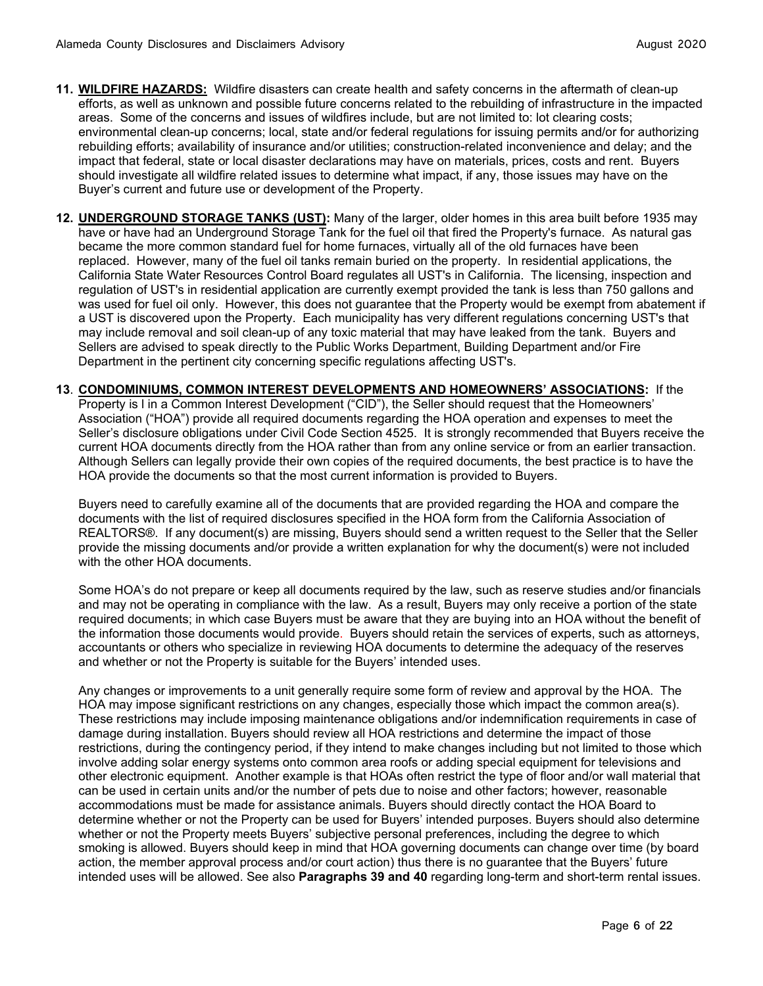- **11. WILDFIRE HAZARDS:** Wildfire disasters can create health and safety concerns in the aftermath of clean-up efforts, as well as unknown and possible future concerns related to the rebuilding of infrastructure in the impacted areas. Some of the concerns and issues of wildfires include, but are not limited to: lot clearing costs; environmental clean-up concerns; local, state and/or federal regulations for issuing permits and/or for authorizing rebuilding efforts; availability of insurance and/or utilities; construction-related inconvenience and delay; and the impact that federal, state or local disaster declarations may have on materials, prices, costs and rent. Buyers should investigate all wildfire related issues to determine what impact, if any, those issues may have on the Buyer's current and future use or development of the Property.
- **12. UNDERGROUND STORAGE TANKS (UST):** Many of the larger, older homes in this area built before 1935 may have or have had an Underground Storage Tank for the fuel oil that fired the Property's furnace. As natural gas became the more common standard fuel for home furnaces, virtually all of the old furnaces have been replaced. However, many of the fuel oil tanks remain buried on the property. In residential applications, the California State Water Resources Control Board regulates all UST's in California. The licensing, inspection and regulation of UST's in residential application are currently exempt provided the tank is less than 750 gallons and was used for fuel oil only. However, this does not guarantee that the Property would be exempt from abatement if a UST is discovered upon the Property. Each municipality has very different regulations concerning UST's that may include removal and soil clean-up of any toxic material that may have leaked from the tank. Buyers and Sellers are advised to speak directly to the Public Works Department, Building Department and/or Fire Department in the pertinent city concerning specific regulations affecting UST's.
- **13**. **CONDOMINIUMS, COMMON INTEREST DEVELOPMENTS AND HOMEOWNERS' ASSOCIATIONS:** If the Property is l in a Common Interest Development ("CID"), the Seller should request that the Homeowners' Association ("HOA") provide all required documents regarding the HOA operation and expenses to meet the Seller's disclosure obligations under Civil Code Section 4525. It is strongly recommended that Buyers receive the current HOA documents directly from the HOA rather than from any online service or from an earlier transaction. Although Sellers can legally provide their own copies of the required documents, the best practice is to have the HOA provide the documents so that the most current information is provided to Buyers.

Buyers need to carefully examine all of the documents that are provided regarding the HOA and compare the documents with the list of required disclosures specified in the HOA form from the California Association of REALTORS®. If any document(s) are missing, Buyers should send a written request to the Seller that the Seller provide the missing documents and/or provide a written explanation for why the document(s) were not included with the other HOA documents.

Some HOA's do not prepare or keep all documents required by the law, such as reserve studies and/or financials and may not be operating in compliance with the law. As a result, Buyers may only receive a portion of the state required documents; in which case Buyers must be aware that they are buying into an HOA without the benefit of the information those documents would provide. Buyers should retain the services of experts, such as attorneys, accountants or others who specialize in reviewing HOA documents to determine the adequacy of the reserves and whether or not the Property is suitable for the Buyers' intended uses.

Any changes or improvements to a unit generally require some form of review and approval by the HOA. The HOA may impose significant restrictions on any changes, especially those which impact the common area(s). These restrictions may include imposing maintenance obligations and/or indemnification requirements in case of damage during installation. Buyers should review all HOA restrictions and determine the impact of those restrictions, during the contingency period, if they intend to make changes including but not limited to those which involve adding solar energy systems onto common area roofs or adding special equipment for televisions and other electronic equipment. Another example is that HOAs often restrict the type of floor and/or wall material that can be used in certain units and/or the number of pets due to noise and other factors; however, reasonable accommodations must be made for assistance animals. Buyers should directly contact the HOA Board to determine whether or not the Property can be used for Buyers' intended purposes. Buyers should also determine whether or not the Property meets Buyers' subjective personal preferences, including the degree to which smoking is allowed. Buyers should keep in mind that HOA governing documents can change over time (by board action, the member approval process and/or court action) thus there is no guarantee that the Buyers' future intended uses will be allowed. See also **Paragraphs 39 and 40** regarding long-term and short-term rental issues.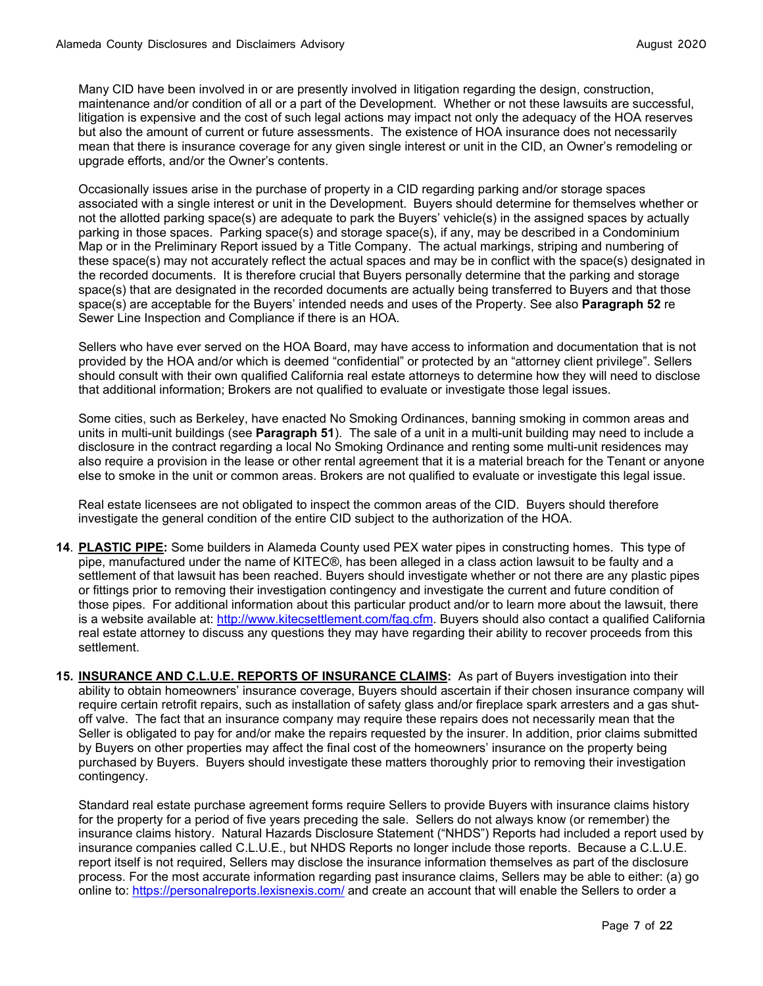Many CID have been involved in or are presently involved in litigation regarding the design, construction, maintenance and/or condition of all or a part of the Development. Whether or not these lawsuits are successful, litigation is expensive and the cost of such legal actions may impact not only the adequacy of the HOA reserves but also the amount of current or future assessments. The existence of HOA insurance does not necessarily mean that there is insurance coverage for any given single interest or unit in the CID, an Owner's remodeling or upgrade efforts, and/or the Owner's contents.

Occasionally issues arise in the purchase of property in a CID regarding parking and/or storage spaces associated with a single interest or unit in the Development. Buyers should determine for themselves whether or not the allotted parking space(s) are adequate to park the Buyers' vehicle(s) in the assigned spaces by actually parking in those spaces. Parking space(s) and storage space(s), if any, may be described in a Condominium Map or in the Preliminary Report issued by a Title Company. The actual markings, striping and numbering of these space(s) may not accurately reflect the actual spaces and may be in conflict with the space(s) designated in the recorded documents. It is therefore crucial that Buyers personally determine that the parking and storage space(s) that are designated in the recorded documents are actually being transferred to Buyers and that those space(s) are acceptable for the Buyers' intended needs and uses of the Property. See also **Paragraph 52** re Sewer Line Inspection and Compliance if there is an HOA.

Sellers who have ever served on the HOA Board, may have access to information and documentation that is not provided by the HOA and/or which is deemed "confidential" or protected by an "attorney client privilege". Sellers should consult with their own qualified California real estate attorneys to determine how they will need to disclose that additional information; Brokers are not qualified to evaluate or investigate those legal issues.

Some cities, such as Berkeley, have enacted No Smoking Ordinances, banning smoking in common areas and units in multi-unit buildings (see **Paragraph 51**). The sale of a unit in a multi-unit building may need to include a disclosure in the contract regarding a local No Smoking Ordinance and renting some multi-unit residences may also require a provision in the lease or other rental agreement that it is a material breach for the Tenant or anyone else to smoke in the unit or common areas. Brokers are not qualified to evaluate or investigate this legal issue.

Real estate licensees are not obligated to inspect the common areas of the CID. Buyers should therefore investigate the general condition of the entire CID subject to the authorization of the HOA.

- **14**. **PLASTIC PIPE:** Some builders in Alameda County used PEX water pipes in constructing homes. This type of pipe, manufactured under the name of KITEC®, has been alleged in a class action lawsuit to be faulty and a settlement of that lawsuit has been reached. Buyers should investigate whether or not there are any plastic pipes or fittings prior to removing their investigation contingency and investigate the current and future condition of those pipes. For additional information about this particular product and/or to learn more about the lawsuit, there is a website available at: http://www.kitecsettlement.com/faq.cfm. Buyers should also contact a qualified California real estate attorney to discuss any questions they may have regarding their ability to recover proceeds from this settlement.
- **15. INSURANCE AND C.L.U.E. REPORTS OF INSURANCE CLAIMS:** As part of Buyers investigation into their ability to obtain homeowners' insurance coverage, Buyers should ascertain if their chosen insurance company will require certain retrofit repairs, such as installation of safety glass and/or fireplace spark arresters and a gas shutoff valve. The fact that an insurance company may require these repairs does not necessarily mean that the Seller is obligated to pay for and/or make the repairs requested by the insurer. In addition, prior claims submitted by Buyers on other properties may affect the final cost of the homeowners' insurance on the property being purchased by Buyers. Buyers should investigate these matters thoroughly prior to removing their investigation contingency.

Standard real estate purchase agreement forms require Sellers to provide Buyers with insurance claims history for the property for a period of five years preceding the sale. Sellers do not always know (or remember) the insurance claims history. Natural Hazards Disclosure Statement ("NHDS") Reports had included a report used by insurance companies called C.L.U.E., but NHDS Reports no longer include those reports. Because a C.L.U.E. report itself is not required, Sellers may disclose the insurance information themselves as part of the disclosure process. For the most accurate information regarding past insurance claims, Sellers may be able to either: (a) go online to: https://personalreports.lexisnexis.com/ and create an account that will enable the Sellers to order a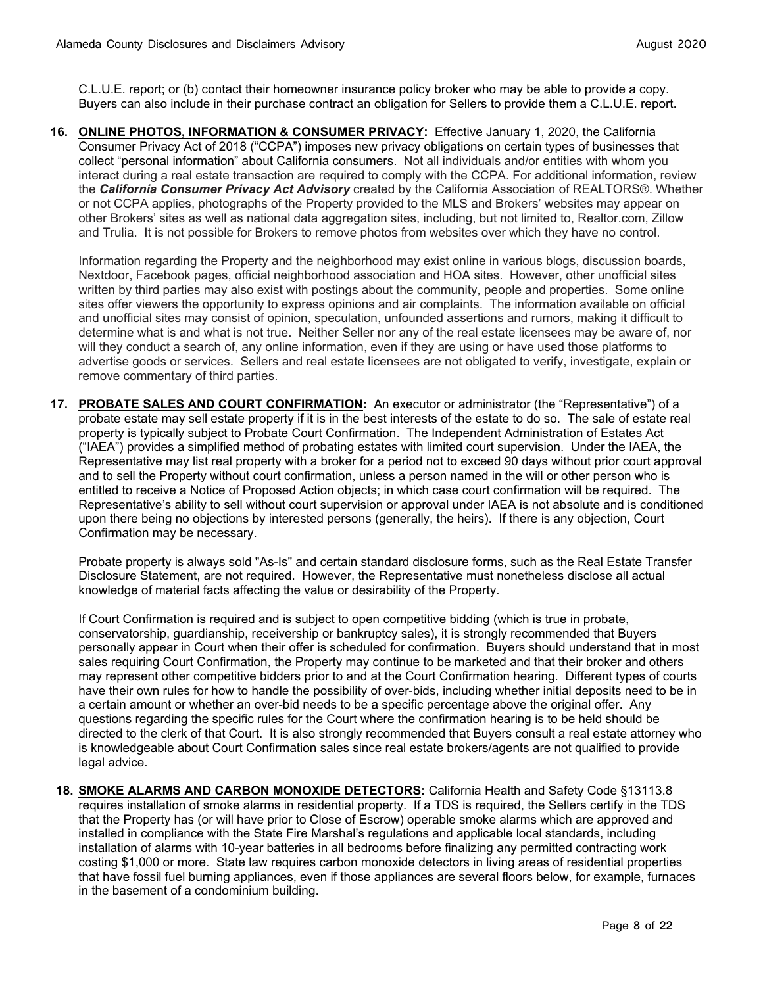C.L.U.E. report; or (b) contact their homeowner insurance policy broker who may be able to provide a copy. Buyers can also include in their purchase contract an obligation for Sellers to provide them a C.L.U.E. report.

**16. ONLINE PHOTOS, INFORMATION & CONSUMER PRIVACY:** Effective January 1, 2020, the California Consumer Privacy Act of 2018 ("CCPA") imposes new privacy obligations on certain types of businesses that collect "personal information" about California consumers. Not all individuals and/or entities with whom you interact during a real estate transaction are required to comply with the CCPA. For additional information, review the *California Consumer Privacy Act Advisory* created by the California Association of REALTORS®. Whether or not CCPA applies, photographs of the Property provided to the MLS and Brokers' websites may appear on other Brokers' sites as well as national data aggregation sites, including, but not limited to, Realtor.com, Zillow and Trulia. It is not possible for Brokers to remove photos from websites over which they have no control.

Information regarding the Property and the neighborhood may exist online in various blogs, discussion boards, Nextdoor, Facebook pages, official neighborhood association and HOA sites. However, other unofficial sites written by third parties may also exist with postings about the community, people and properties. Some online sites offer viewers the opportunity to express opinions and air complaints. The information available on official and unofficial sites may consist of opinion, speculation, unfounded assertions and rumors, making it difficult to determine what is and what is not true. Neither Seller nor any of the real estate licensees may be aware of, nor will they conduct a search of, any online information, even if they are using or have used those platforms to advertise goods or services. Sellers and real estate licensees are not obligated to verify, investigate, explain or remove commentary of third parties.

**17. PROBATE SALES AND COURT CONFIRMATION:** An executor or administrator (the "Representative") of a probate estate may sell estate property if it is in the best interests of the estate to do so. The sale of estate real property is typically subject to Probate Court Confirmation. The Independent Administration of Estates Act ("IAEA") provides a simplified method of probating estates with limited court supervision. Under the IAEA, the Representative may list real property with a broker for a period not to exceed 90 days without prior court approval and to sell the Property without court confirmation, unless a person named in the will or other person who is entitled to receive a Notice of Proposed Action objects; in which case court confirmation will be required. The Representative's ability to sell without court supervision or approval under IAEA is not absolute and is conditioned upon there being no objections by interested persons (generally, the heirs). If there is any objection, Court Confirmation may be necessary.

Probate property is always sold "As-Is" and certain standard disclosure forms, such as the Real Estate Transfer Disclosure Statement, are not required. However, the Representative must nonetheless disclose all actual knowledge of material facts affecting the value or desirability of the Property.

If Court Confirmation is required and is subject to open competitive bidding (which is true in probate, conservatorship, guardianship, receivership or bankruptcy sales), it is strongly recommended that Buyers personally appear in Court when their offer is scheduled for confirmation. Buyers should understand that in most sales requiring Court Confirmation, the Property may continue to be marketed and that their broker and others may represent other competitive bidders prior to and at the Court Confirmation hearing. Different types of courts have their own rules for how to handle the possibility of over-bids, including whether initial deposits need to be in a certain amount or whether an over-bid needs to be a specific percentage above the original offer. Any questions regarding the specific rules for the Court where the confirmation hearing is to be held should be directed to the clerk of that Court. It is also strongly recommended that Buyers consult a real estate attorney who is knowledgeable about Court Confirmation sales since real estate brokers/agents are not qualified to provide legal advice.

**18. SMOKE ALARMS AND CARBON MONOXIDE DETECTORS:** California Health and Safety Code §13113.8 requires installation of smoke alarms in residential property. If a TDS is required, the Sellers certify in the TDS that the Property has (or will have prior to Close of Escrow) operable smoke alarms which are approved and installed in compliance with the State Fire Marshal's regulations and applicable local standards, including installation of alarms with 10-year batteries in all bedrooms before finalizing any permitted contracting work costing \$1,000 or more. State law requires carbon monoxide detectors in living areas of residential properties that have fossil fuel burning appliances, even if those appliances are several floors below, for example, furnaces in the basement of a condominium building.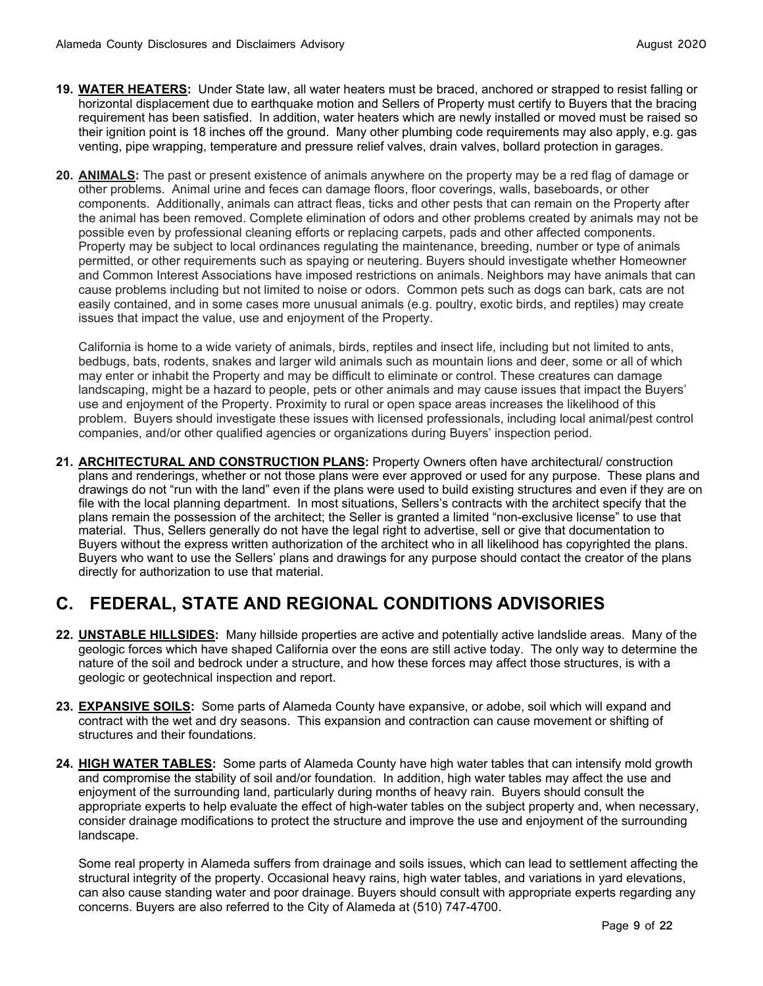- **19. WATER HEATERS:** Under State law, all water heaters must be braced, anchored or strapped to resist falling or horizontal displacement due to earthquake motion and Sellers of Property must certify to Buyers that the bracing requirement has been satisfied. In addition, water heaters which are newly installed or moved must be raised so their ignition point is 18 inches off the ground. Many other plumbing code requirements may also apply, e.g. gas venting, pipe wrapping, temperature and pressure relief valves, drain valves, bollard protection in garages.
- **20. ANIMALS:** The past or present existence of animals anywhere on the property may be a red flag of damage or other problems. Animal urine and feces can damage floors, floor coverings, walls, baseboards, or other components. Additionally, animals can attract fleas, ticks and other pests that can remain on the Property after the animal has been removed. Complete elimination of odors and other problems created by animals may not be possible even by professional cleaning efforts or replacing carpets, pads and other affected components. Property may be subject to local ordinances regulating the maintenance, breeding, number or type of animals permitted, or other requirements such as spaying or neutering. Buyers should investigate whether Homeowner and Common Interest Associations have imposed restrictions on animals. Neighbors may have animals that can cause problems including but not limited to noise or odors. Common pets such as dogs can bark, cats are not easily contained, and in some cases more unusual animals (e.g. poultry, exotic birds, and reptiles) may create issues that impact the value, use and enjoyment of the Property.

California is home to a wide variety of animals, birds, reptiles and insect life, including but not limited to ants, bedbugs, bats, rodents, snakes and larger wild animals such as mountain lions and deer, some or all of which may enter or inhabit the Property and may be difficult to eliminate or control. These creatures can damage landscaping, might be a hazard to people, pets or other animals and may cause issues that impact the Buyers' use and enjoyment of the Property. Proximity to rural or open space areas increases the likelihood of this problem. Buyers should investigate these issues with licensed professionals, including local animal/pest control companies, and/or other qualified agencies or organizations during Buyers' inspection period.

**21. ARCHITECTURAL AND CONSTRUCTION PLANS:** Property Owners often have architectural/ construction plans and renderings, whether or not those plans were ever approved or used for any purpose. These plans and drawings do not "run with the land" even if the plans were used to build existing structures and even if they are on file with the local planning department. In most situations, Sellers's contracts with the architect specify that the plans remain the possession of the architect; the Seller is granted a limited "non-exclusive license" to use that material. Thus, Sellers generally do not have the legal right to advertise, sell or give that documentation to Buyers without the express written authorization of the architect who in all likelihood has copyrighted the plans. Buyers who want to use the Sellers' plans and drawings for any purpose should contact the creator of the plans directly for authorization to use that material.

### **C. FEDERAL, STATE AND REGIONAL CONDITIONS ADVISORIES**

- **22. UNSTABLE HILLSIDES:** Many hillside properties are active and potentially active landslide areas. Many of the geologic forces which have shaped California over the eons are still active today. The only way to determine the nature of the soil and bedrock under a structure, and how these forces may affect those structures, is with a geologic or geotechnical inspection and report.
- **23. EXPANSIVE SOILS:** Some parts of Alameda County have expansive, or adobe, soil which will expand and contract with the wet and dry seasons. This expansion and contraction can cause movement or shifting of structures and their foundations.
- **24. HIGH WATER TABLES:** Some parts of Alameda County have high water tables that can intensify mold growth and compromise the stability of soil and/or foundation. In addition, high water tables may affect the use and enjoyment of the surrounding land, particularly during months of heavy rain. Buyers should consult the appropriate experts to help evaluate the effect of high-water tables on the subject property and, when necessary, consider drainage modifications to protect the structure and improve the use and enjoyment of the surrounding landscape.

Some real property in Alameda suffers from drainage and soils issues, which can lead to settlement affecting the structural integrity of the property. Occasional heavy rains, high water tables, and variations in yard elevations, can also cause standing water and poor drainage. Buyers should consult with appropriate experts regarding any concerns. Buyers are also referred to the City of Alameda at (510) 747-4700.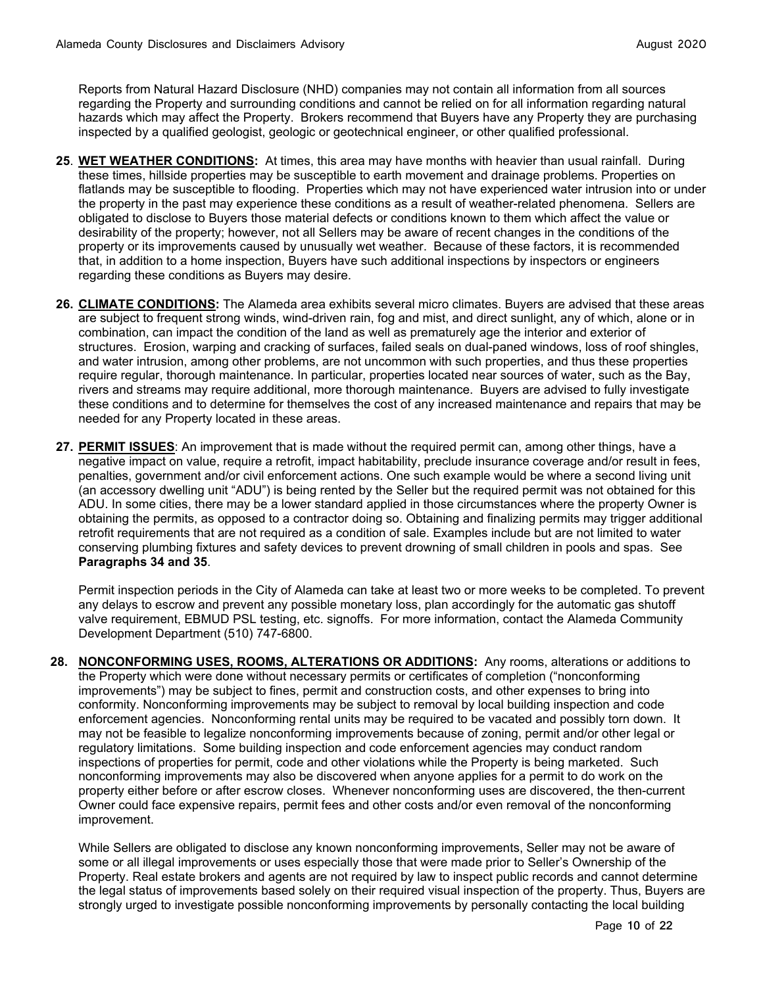Reports from Natural Hazard Disclosure (NHD) companies may not contain all information from all sources regarding the Property and surrounding conditions and cannot be relied on for all information regarding natural hazards which may affect the Property. Brokers recommend that Buyers have any Property they are purchasing inspected by a qualified geologist, geologic or geotechnical engineer, or other qualified professional.

- **25**. **WET WEATHER CONDITIONS:** At times, this area may have months with heavier than usual rainfall. During these times, hillside properties may be susceptible to earth movement and drainage problems. Properties on flatlands may be susceptible to flooding. Properties which may not have experienced water intrusion into or under the property in the past may experience these conditions as a result of weather-related phenomena. Sellers are obligated to disclose to Buyers those material defects or conditions known to them which affect the value or desirability of the property; however, not all Sellers may be aware of recent changes in the conditions of the property or its improvements caused by unusually wet weather. Because of these factors, it is recommended that, in addition to a home inspection, Buyers have such additional inspections by inspectors or engineers regarding these conditions as Buyers may desire.
- **26. CLIMATE CONDITIONS:** The Alameda area exhibits several micro climates. Buyers are advised that these areas are subject to frequent strong winds, wind-driven rain, fog and mist, and direct sunlight, any of which, alone or in combination, can impact the condition of the land as well as prematurely age the interior and exterior of structures. Erosion, warping and cracking of surfaces, failed seals on dual-paned windows, loss of roof shingles, and water intrusion, among other problems, are not uncommon with such properties, and thus these properties require regular, thorough maintenance. In particular, properties located near sources of water, such as the Bay, rivers and streams may require additional, more thorough maintenance. Buyers are advised to fully investigate these conditions and to determine for themselves the cost of any increased maintenance and repairs that may be needed for any Property located in these areas.
- **27. PERMIT ISSUES**: An improvement that is made without the required permit can, among other things, have a negative impact on value, require a retrofit, impact habitability, preclude insurance coverage and/or result in fees, penalties, government and/or civil enforcement actions. One such example would be where a second living unit (an accessory dwelling unit "ADU") is being rented by the Seller but the required permit was not obtained for this ADU. In some cities, there may be a lower standard applied in those circumstances where the property Owner is obtaining the permits, as opposed to a contractor doing so. Obtaining and finalizing permits may trigger additional retrofit requirements that are not required as a condition of sale. Examples include but are not limited to water conserving plumbing fixtures and safety devices to prevent drowning of small children in pools and spas. See **Paragraphs 34 and 35**.

Permit inspection periods in the City of Alameda can take at least two or more weeks to be completed. To prevent any delays to escrow and prevent any possible monetary loss, plan accordingly for the automatic gas shutoff valve requirement, EBMUD PSL testing, etc. signoffs. For more information, contact the Alameda Community Development Department (510) 747-6800.

**28. NONCONFORMING USES, ROOMS, ALTERATIONS OR ADDITIONS:** Any rooms, alterations or additions to the Property which were done without necessary permits or certificates of completion ("nonconforming improvements") may be subject to fines, permit and construction costs, and other expenses to bring into conformity. Nonconforming improvements may be subject to removal by local building inspection and code enforcement agencies. Nonconforming rental units may be required to be vacated and possibly torn down. It may not be feasible to legalize nonconforming improvements because of zoning, permit and/or other legal or regulatory limitations. Some building inspection and code enforcement agencies may conduct random inspections of properties for permit, code and other violations while the Property is being marketed. Such nonconforming improvements may also be discovered when anyone applies for a permit to do work on the property either before or after escrow closes. Whenever nonconforming uses are discovered, the then-current Owner could face expensive repairs, permit fees and other costs and/or even removal of the nonconforming improvement.

While Sellers are obligated to disclose any known nonconforming improvements, Seller may not be aware of some or all illegal improvements or uses especially those that were made prior to Seller's Ownership of the Property. Real estate brokers and agents are not required by law to inspect public records and cannot determine the legal status of improvements based solely on their required visual inspection of the property. Thus, Buyers are strongly urged to investigate possible nonconforming improvements by personally contacting the local building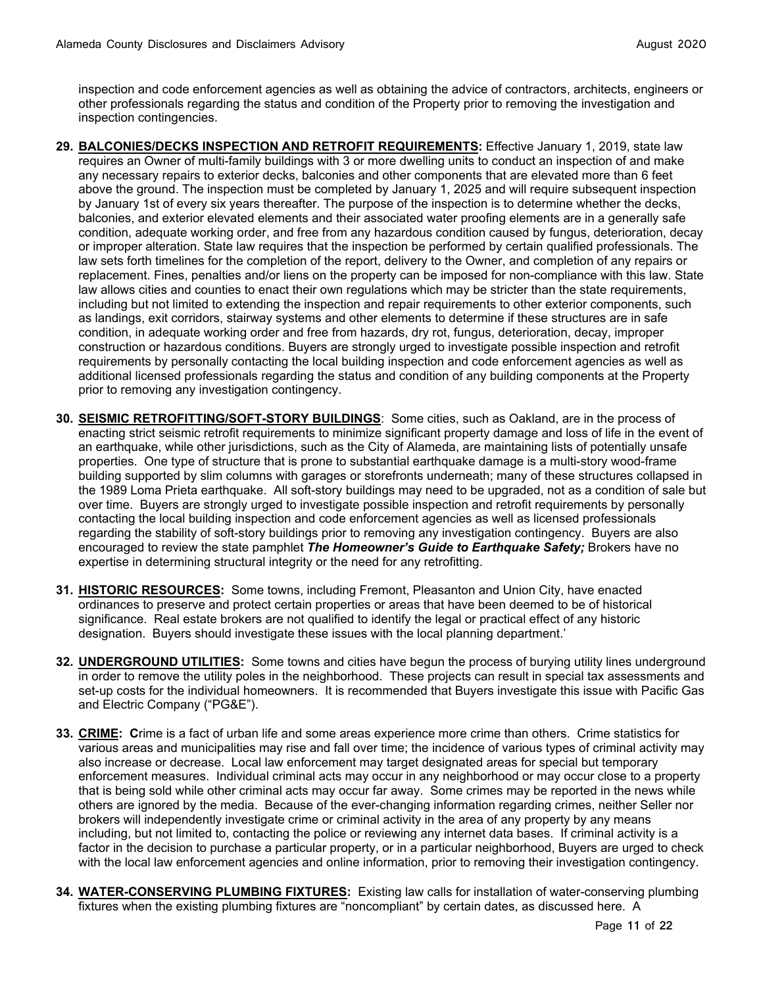inspection and code enforcement agencies as well as obtaining the advice of contractors, architects, engineers or other professionals regarding the status and condition of the Property prior to removing the investigation and inspection contingencies.

- **29. BALCONIES/DECKS INSPECTION AND RETROFIT REQUIREMENTS:** Effective January 1, 2019, state law requires an Owner of multi-family buildings with 3 or more dwelling units to conduct an inspection of and make any necessary repairs to exterior decks, balconies and other components that are elevated more than 6 feet above the ground. The inspection must be completed by January 1, 2025 and will require subsequent inspection by January 1st of every six years thereafter. The purpose of the inspection is to determine whether the decks, balconies, and exterior elevated elements and their associated water proofing elements are in a generally safe condition, adequate working order, and free from any hazardous condition caused by fungus, deterioration, decay or improper alteration. State law requires that the inspection be performed by certain qualified professionals. The law sets forth timelines for the completion of the report, delivery to the Owner, and completion of any repairs or replacement. Fines, penalties and/or liens on the property can be imposed for non-compliance with this law. State law allows cities and counties to enact their own regulations which may be stricter than the state requirements, including but not limited to extending the inspection and repair requirements to other exterior components, such as landings, exit corridors, stairway systems and other elements to determine if these structures are in safe condition, in adequate working order and free from hazards, dry rot, fungus, deterioration, decay, improper construction or hazardous conditions. Buyers are strongly urged to investigate possible inspection and retrofit requirements by personally contacting the local building inspection and code enforcement agencies as well as additional licensed professionals regarding the status and condition of any building components at the Property prior to removing any investigation contingency.
- **30. SEISMIC RETROFITTING/SOFT-STORY BUILDINGS**: Some cities, such as Oakland, are in the process of enacting strict seismic retrofit requirements to minimize significant property damage and loss of life in the event of an earthquake, while other jurisdictions, such as the City of Alameda, are maintaining lists of potentially unsafe properties. One type of structure that is prone to substantial earthquake damage is a multi-story wood-frame building supported by slim columns with garages or storefronts underneath; many of these structures collapsed in the 1989 Loma Prieta earthquake. All soft-story buildings may need to be upgraded, not as a condition of sale but over time. Buyers are strongly urged to investigate possible inspection and retrofit requirements by personally contacting the local building inspection and code enforcement agencies as well as licensed professionals regarding the stability of soft-story buildings prior to removing any investigation contingency. Buyers are also encouraged to review the state pamphlet *The Homeowner's Guide to Earthquake Safety;* Brokers have no expertise in determining structural integrity or the need for any retrofitting.
- **31. HISTORIC RESOURCES:** Some towns, including Fremont, Pleasanton and Union City, have enacted ordinances to preserve and protect certain properties or areas that have been deemed to be of historical significance. Real estate brokers are not qualified to identify the legal or practical effect of any historic designation. Buyers should investigate these issues with the local planning department.'
- **32. UNDERGROUND UTILITIES:** Some towns and cities have begun the process of burying utility lines underground in order to remove the utility poles in the neighborhood. These projects can result in special tax assessments and set-up costs for the individual homeowners. It is recommended that Buyers investigate this issue with Pacific Gas and Electric Company ("PG&E").
- **33. CRIME: C**rime is a fact of urban life and some areas experience more crime than others. Crime statistics for various areas and municipalities may rise and fall over time; the incidence of various types of criminal activity may also increase or decrease. Local law enforcement may target designated areas for special but temporary enforcement measures. Individual criminal acts may occur in any neighborhood or may occur close to a property that is being sold while other criminal acts may occur far away. Some crimes may be reported in the news while others are ignored by the media. Because of the ever-changing information regarding crimes, neither Seller nor brokers will independently investigate crime or criminal activity in the area of any property by any means including, but not limited to, contacting the police or reviewing any internet data bases. If criminal activity is a factor in the decision to purchase a particular property, or in a particular neighborhood, Buyers are urged to check with the local law enforcement agencies and online information, prior to removing their investigation contingency.
- **34. WATER-CONSERVING PLUMBING FIXTURES:** Existing law calls for installation of water-conserving plumbing fixtures when the existing plumbing fixtures are "noncompliant" by certain dates, as discussed here. A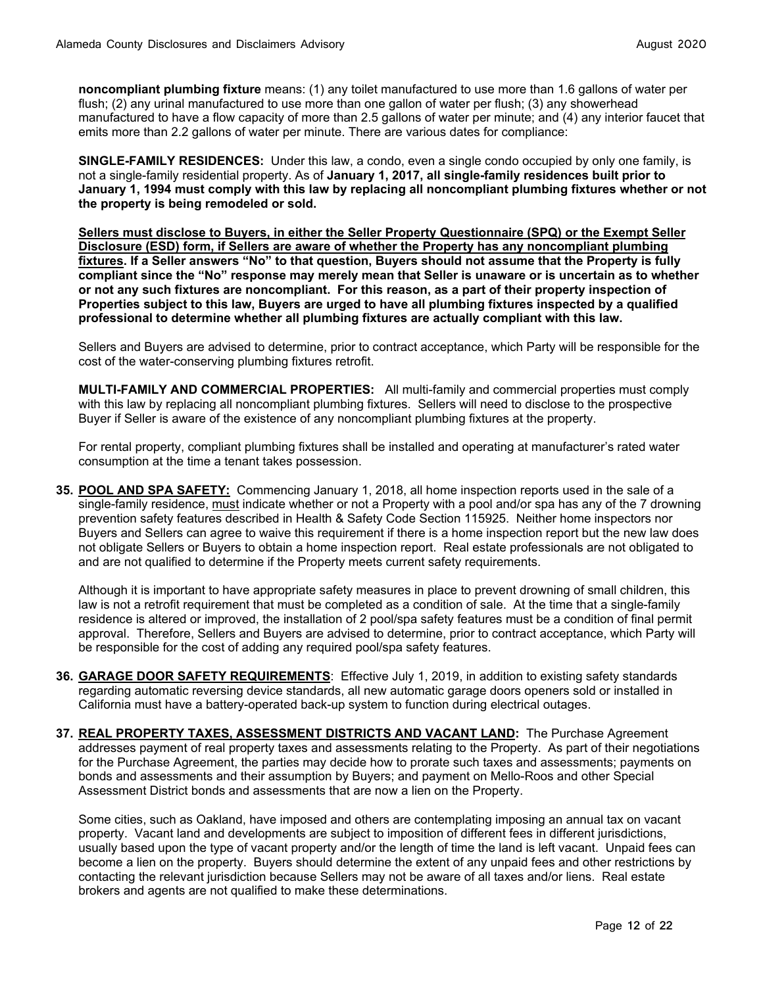**noncompliant plumbing fixture** means: (1) any toilet manufactured to use more than 1.6 gallons of water per flush; (2) any urinal manufactured to use more than one gallon of water per flush; (3) any showerhead manufactured to have a flow capacity of more than 2.5 gallons of water per minute; and (4) any interior faucet that emits more than 2.2 gallons of water per minute. There are various dates for compliance:

**SINGLE-FAMILY RESIDENCES:** Under this law, a condo, even a single condo occupied by only one family, is not a single-family residential property. As of **January 1, 2017, all single-family residences built prior to January 1, 1994 must comply with this law by replacing all noncompliant plumbing fixtures whether or not the property is being remodeled or sold.** 

**Sellers must disclose to Buyers, in either the Seller Property Questionnaire (SPQ) or the Exempt Seller Disclosure (ESD) form, if Sellers are aware of whether the Property has any noncompliant plumbing fixtures. If a Seller answers "No" to that question, Buyers should not assume that the Property is fully compliant since the "No" response may merely mean that Seller is unaware or is uncertain as to whether or not any such fixtures are noncompliant. For this reason, as a part of their property inspection of Properties subject to this law, Buyers are urged to have all plumbing fixtures inspected by a qualified professional to determine whether all plumbing fixtures are actually compliant with this law.**

Sellers and Buyers are advised to determine, prior to contract acceptance, which Party will be responsible for the cost of the water-conserving plumbing fixtures retrofit.

**MULTI-FAMILY AND COMMERCIAL PROPERTIES:** All multi-family and commercial properties must comply with this law by replacing all noncompliant plumbing fixtures. Sellers will need to disclose to the prospective Buyer if Seller is aware of the existence of any noncompliant plumbing fixtures at the property.

For rental property, compliant plumbing fixtures shall be installed and operating at manufacturer's rated water consumption at the time a tenant takes possession.

**35. POOL AND SPA SAFETY:** Commencing January 1, 2018, all home inspection reports used in the sale of a single-family residence, must indicate whether or not a Property with a pool and/or spa has any of the 7 drowning prevention safety features described in Health & Safety Code Section 115925. Neither home inspectors nor Buyers and Sellers can agree to waive this requirement if there is a home inspection report but the new law does not obligate Sellers or Buyers to obtain a home inspection report. Real estate professionals are not obligated to and are not qualified to determine if the Property meets current safety requirements.

Although it is important to have appropriate safety measures in place to prevent drowning of small children, this law is not a retrofit requirement that must be completed as a condition of sale. At the time that a single-family residence is altered or improved, the installation of 2 pool/spa safety features must be a condition of final permit approval. Therefore, Sellers and Buyers are advised to determine, prior to contract acceptance, which Party will be responsible for the cost of adding any required pool/spa safety features.

- **36. GARAGE DOOR SAFETY REQUIREMENTS**: Effective July 1, 2019, in addition to existing safety standards regarding automatic reversing device standards, all new automatic garage doors openers sold or installed in California must have a battery-operated back-up system to function during electrical outages.
- **37. REAL PROPERTY TAXES, ASSESSMENT DISTRICTS AND VACANT LAND:** The Purchase Agreement addresses payment of real property taxes and assessments relating to the Property. As part of their negotiations for the Purchase Agreement, the parties may decide how to prorate such taxes and assessments; payments on bonds and assessments and their assumption by Buyers; and payment on Mello-Roos and other Special Assessment District bonds and assessments that are now a lien on the Property.

Some cities, such as Oakland, have imposed and others are contemplating imposing an annual tax on vacant property. Vacant land and developments are subject to imposition of different fees in different jurisdictions, usually based upon the type of vacant property and/or the length of time the land is left vacant. Unpaid fees can become a lien on the property. Buyers should determine the extent of any unpaid fees and other restrictions by contacting the relevant jurisdiction because Sellers may not be aware of all taxes and/or liens. Real estate brokers and agents are not qualified to make these determinations.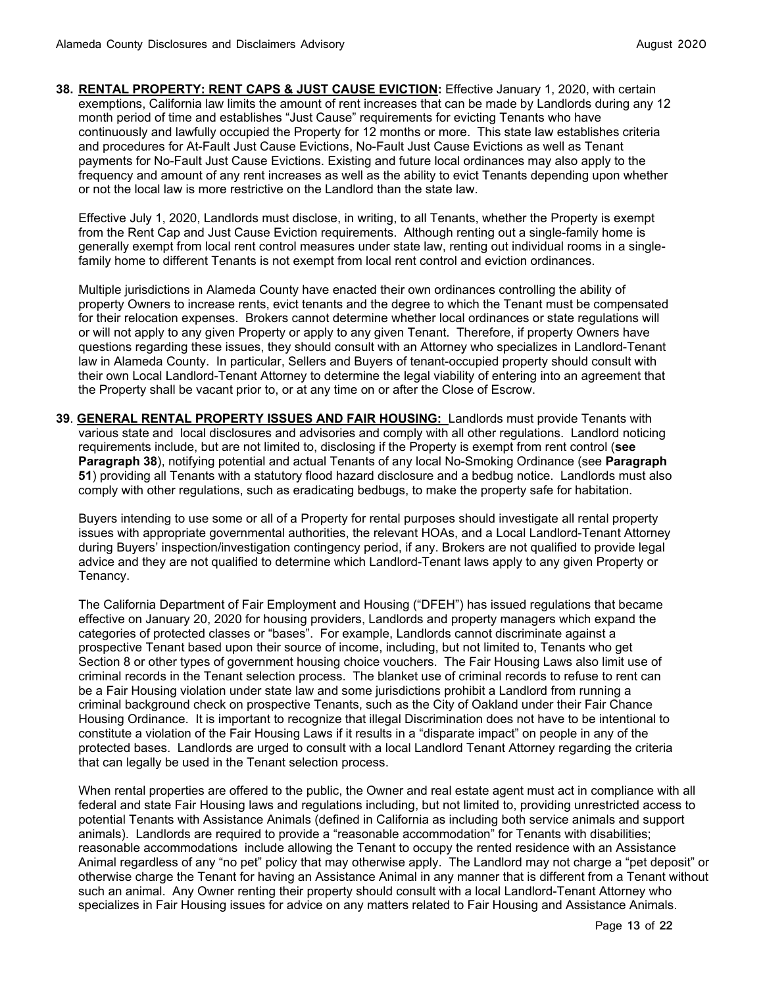**38. RENTAL PROPERTY: RENT CAPS & JUST CAUSE EVICTION:** Effective January 1, 2020, with certain exemptions, California law limits the amount of rent increases that can be made by Landlords during any 12 month period of time and establishes "Just Cause" requirements for evicting Tenants who have continuously and lawfully occupied the Property for 12 months or more. This state law establishes criteria and procedures for At-Fault Just Cause Evictions, No-Fault Just Cause Evictions as well as Tenant payments for No-Fault Just Cause Evictions. Existing and future local ordinances may also apply to the frequency and amount of any rent increases as well as the ability to evict Tenants depending upon whether or not the local law is more restrictive on the Landlord than the state law.

Effective July 1, 2020, Landlords must disclose, in writing, to all Tenants, whether the Property is exempt from the Rent Cap and Just Cause Eviction requirements. Although renting out a single-family home is generally exempt from local rent control measures under state law, renting out individual rooms in a singlefamily home to different Tenants is not exempt from local rent control and eviction ordinances.

Multiple jurisdictions in Alameda County have enacted their own ordinances controlling the ability of property Owners to increase rents, evict tenants and the degree to which the Tenant must be compensated for their relocation expenses. Brokers cannot determine whether local ordinances or state regulations will or will not apply to any given Property or apply to any given Tenant. Therefore, if property Owners have questions regarding these issues, they should consult with an Attorney who specializes in Landlord-Tenant law in Alameda County. In particular, Sellers and Buyers of tenant-occupied property should consult with their own Local Landlord-Tenant Attorney to determine the legal viability of entering into an agreement that the Property shall be vacant prior to, or at any time on or after the Close of Escrow.

**39**. **GENERAL RENTAL PROPERTY ISSUES AND FAIR HOUSING:** Landlords must provide Tenants with various state and local disclosures and advisories and comply with all other regulations. Landlord noticing requirements include, but are not limited to, disclosing if the Property is exempt from rent control (**see Paragraph 38**), notifying potential and actual Tenants of any local No-Smoking Ordinance (see **Paragraph 51**) providing all Tenants with a statutory flood hazard disclosure and a bedbug notice. Landlords must also comply with other regulations, such as eradicating bedbugs, to make the property safe for habitation.

Buyers intending to use some or all of a Property for rental purposes should investigate all rental property issues with appropriate governmental authorities, the relevant HOAs, and a Local Landlord-Tenant Attorney during Buyers' inspection/investigation contingency period, if any. Brokers are not qualified to provide legal advice and they are not qualified to determine which Landlord-Tenant laws apply to any given Property or Tenancy.

The California Department of Fair Employment and Housing ("DFEH") has issued regulations that became effective on January 20, 2020 for housing providers, Landlords and property managers which expand the categories of protected classes or "bases". For example, Landlords cannot discriminate against a prospective Tenant based upon their source of income, including, but not limited to, Tenants who get Section 8 or other types of government housing choice vouchers. The Fair Housing Laws also limit use of criminal records in the Tenant selection process. The blanket use of criminal records to refuse to rent can be a Fair Housing violation under state law and some jurisdictions prohibit a Landlord from running a criminal background check on prospective Tenants, such as the City of Oakland under their Fair Chance Housing Ordinance. It is important to recognize that illegal Discrimination does not have to be intentional to constitute a violation of the Fair Housing Laws if it results in a "disparate impact" on people in any of the protected bases. Landlords are urged to consult with a local Landlord Tenant Attorney regarding the criteria that can legally be used in the Tenant selection process.

When rental properties are offered to the public, the Owner and real estate agent must act in compliance with all federal and state Fair Housing laws and regulations including, but not limited to, providing unrestricted access to potential Tenants with Assistance Animals (defined in California as including both service animals and support animals). Landlords are required to provide a "reasonable accommodation" for Tenants with disabilities; reasonable accommodations include allowing the Tenant to occupy the rented residence with an Assistance Animal regardless of any "no pet" policy that may otherwise apply. The Landlord may not charge a "pet deposit" or otherwise charge the Tenant for having an Assistance Animal in any manner that is different from a Tenant without such an animal. Any Owner renting their property should consult with a local Landlord-Tenant Attorney who specializes in Fair Housing issues for advice on any matters related to Fair Housing and Assistance Animals.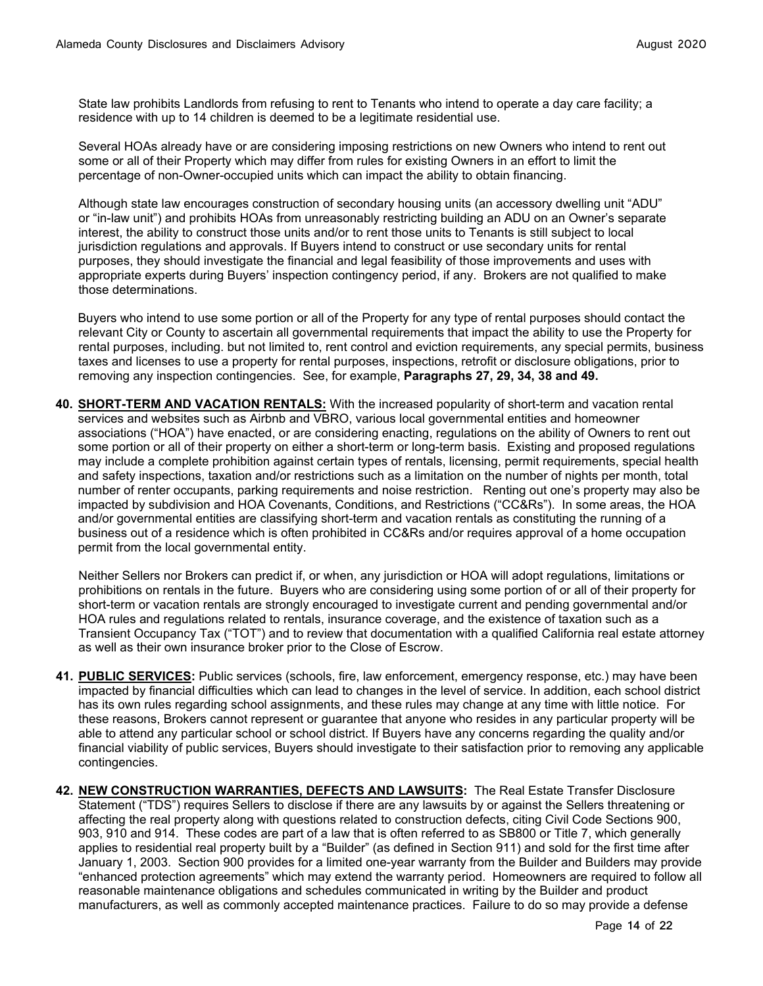State law prohibits Landlords from refusing to rent to Tenants who intend to operate a day care facility; a residence with up to 14 children is deemed to be a legitimate residential use.

Several HOAs already have or are considering imposing restrictions on new Owners who intend to rent out some or all of their Property which may differ from rules for existing Owners in an effort to limit the percentage of non-Owner-occupied units which can impact the ability to obtain financing.

Although state law encourages construction of secondary housing units (an accessory dwelling unit "ADU" or "in-law unit") and prohibits HOAs from unreasonably restricting building an ADU on an Owner's separate interest, the ability to construct those units and/or to rent those units to Tenants is still subject to local jurisdiction regulations and approvals. If Buyers intend to construct or use secondary units for rental purposes, they should investigate the financial and legal feasibility of those improvements and uses with appropriate experts during Buyers' inspection contingency period, if any. Brokers are not qualified to make those determinations.

Buyers who intend to use some portion or all of the Property for any type of rental purposes should contact the relevant City or County to ascertain all governmental requirements that impact the ability to use the Property for rental purposes, including. but not limited to, rent control and eviction requirements, any special permits, business taxes and licenses to use a property for rental purposes, inspections, retrofit or disclosure obligations, prior to removing any inspection contingencies. See, for example, **Paragraphs 27, 29, 34, 38 and 49.**

**40. SHORT-TERM AND VACATION RENTALS:** With the increased popularity of short-term and vacation rental services and websites such as Airbnb and VBRO, various local governmental entities and homeowner associations ("HOA") have enacted, or are considering enacting, regulations on the ability of Owners to rent out some portion or all of their property on either a short-term or long-term basis. Existing and proposed regulations may include a complete prohibition against certain types of rentals, licensing, permit requirements, special health and safety inspections, taxation and/or restrictions such as a limitation on the number of nights per month, total number of renter occupants, parking requirements and noise restriction. Renting out one's property may also be impacted by subdivision and HOA Covenants, Conditions, and Restrictions ("CC&Rs"). In some areas, the HOA and/or governmental entities are classifying short-term and vacation rentals as constituting the running of a business out of a residence which is often prohibited in CC&Rs and/or requires approval of a home occupation permit from the local governmental entity.

Neither Sellers nor Brokers can predict if, or when, any jurisdiction or HOA will adopt regulations, limitations or prohibitions on rentals in the future. Buyers who are considering using some portion of or all of their property for short-term or vacation rentals are strongly encouraged to investigate current and pending governmental and/or HOA rules and regulations related to rentals, insurance coverage, and the existence of taxation such as a Transient Occupancy Tax ("TOT") and to review that documentation with a qualified California real estate attorney as well as their own insurance broker prior to the Close of Escrow.

- **41. PUBLIC SERVICES:** Public services (schools, fire, law enforcement, emergency response, etc.) may have been impacted by financial difficulties which can lead to changes in the level of service. In addition, each school district has its own rules regarding school assignments, and these rules may change at any time with little notice. For these reasons, Brokers cannot represent or guarantee that anyone who resides in any particular property will be able to attend any particular school or school district. If Buyers have any concerns regarding the quality and/or financial viability of public services, Buyers should investigate to their satisfaction prior to removing any applicable contingencies.
- **42. NEW CONSTRUCTION WARRANTIES, DEFECTS AND LAWSUITS:** The Real Estate Transfer Disclosure Statement ("TDS") requires Sellers to disclose if there are any lawsuits by or against the Sellers threatening or affecting the real property along with questions related to construction defects, citing Civil Code Sections 900, 903, 910 and 914. These codes are part of a law that is often referred to as SB800 or Title 7, which generally applies to residential real property built by a "Builder" (as defined in Section 911) and sold for the first time after January 1, 2003. Section 900 provides for a limited one-year warranty from the Builder and Builders may provide "enhanced protection agreements" which may extend the warranty period. Homeowners are required to follow all reasonable maintenance obligations and schedules communicated in writing by the Builder and product manufacturers, as well as commonly accepted maintenance practices. Failure to do so may provide a defense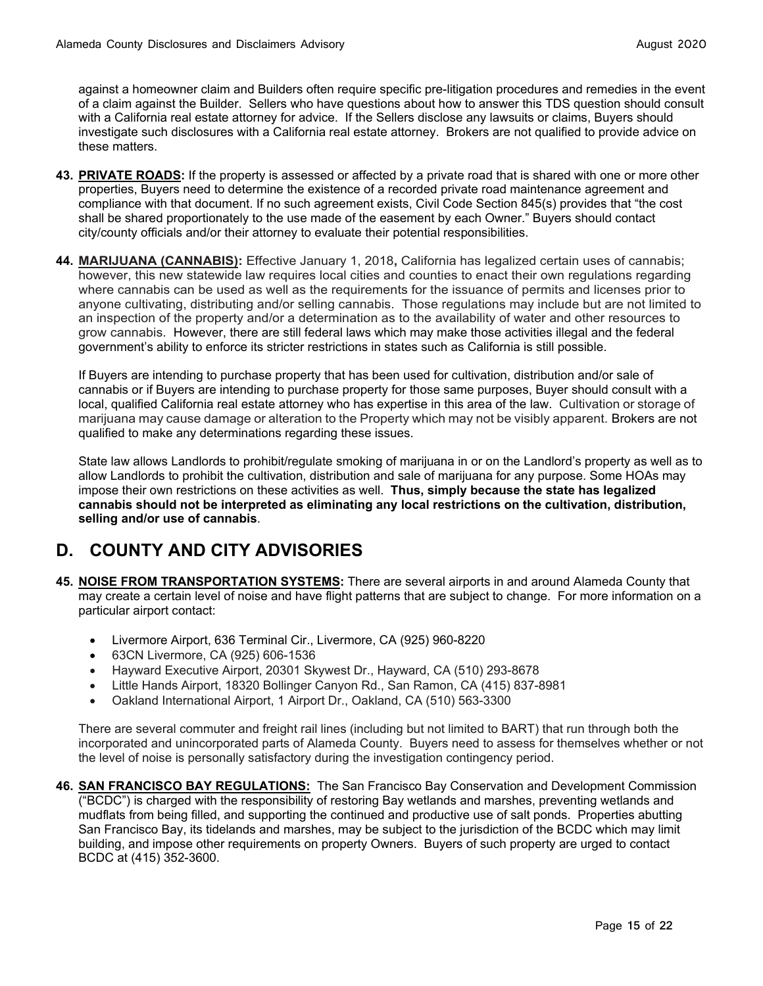against a homeowner claim and Builders often require specific pre-litigation procedures and remedies in the event of a claim against the Builder. Sellers who have questions about how to answer this TDS question should consult with a California real estate attorney for advice. If the Sellers disclose any lawsuits or claims, Buyers should investigate such disclosures with a California real estate attorney. Brokers are not qualified to provide advice on these matters.

- **43. PRIVATE ROADS:** If the property is assessed or affected by a private road that is shared with one or more other properties, Buyers need to determine the existence of a recorded private road maintenance agreement and compliance with that document. If no such agreement exists, Civil Code Section 845(s) provides that "the cost shall be shared proportionately to the use made of the easement by each Owner." Buyers should contact city/county officials and/or their attorney to evaluate their potential responsibilities.
- **44. MARIJUANA (CANNABIS):** Effective January 1, 2018**,** California has legalized certain uses of cannabis; however, this new statewide law requires local cities and counties to enact their own regulations regarding where cannabis can be used as well as the requirements for the issuance of permits and licenses prior to anyone cultivating, distributing and/or selling cannabis. Those regulations may include but are not limited to an inspection of the property and/or a determination as to the availability of water and other resources to grow cannabis. However, there are still federal laws which may make those activities illegal and the federal government's ability to enforce its stricter restrictions in states such as California is still possible.

If Buyers are intending to purchase property that has been used for cultivation, distribution and/or sale of cannabis or if Buyers are intending to purchase property for those same purposes, Buyer should consult with a local, qualified California real estate attorney who has expertise in this area of the law. Cultivation or storage of marijuana may cause damage or alteration to the Property which may not be visibly apparent. Brokers are not qualified to make any determinations regarding these issues.

State law allows Landlords to prohibit/regulate smoking of marijuana in or on the Landlord's property as well as to allow Landlords to prohibit the cultivation, distribution and sale of marijuana for any purpose. Some HOAs may impose their own restrictions on these activities as well. **Thus, simply because the state has legalized cannabis should not be interpreted as eliminating any local restrictions on the cultivation, distribution, selling and/or use of cannabis**.

### **D. COUNTY AND CITY ADVISORIES**

- **45. NOISE FROM TRANSPORTATION SYSTEMS:** There are several airports in and around Alameda County that may create a certain level of noise and have flight patterns that are subject to change. For more information on a particular airport contact:
	- Livermore Airport, 636 Terminal Cir., Livermore, CA (925) 960-8220
	- 63CN Livermore, CA (925) 606-1536
	- Hayward Executive Airport, 20301 Skywest Dr., Hayward, CA (510) 293-8678
	- Little Hands Airport, 18320 Bollinger Canyon Rd., San Ramon, CA (415) 837-8981
	- Oakland International Airport, 1 Airport Dr., Oakland, CA (510) 563-3300

There are several commuter and freight rail lines (including but not limited to BART) that run through both the incorporated and unincorporated parts of Alameda County. Buyers need to assess for themselves whether or not the level of noise is personally satisfactory during the investigation contingency period.

**46. SAN FRANCISCO BAY REGULATIONS:** The San Francisco Bay Conservation and Development Commission ("BCDC") is charged with the responsibility of restoring Bay wetlands and marshes, preventing wetlands and mudflats from being filled, and supporting the continued and productive use of salt ponds. Properties abutting San Francisco Bay, its tidelands and marshes, may be subject to the jurisdiction of the BCDC which may limit building, and impose other requirements on property Owners. Buyers of such property are urged to contact BCDC at (415) 352-3600.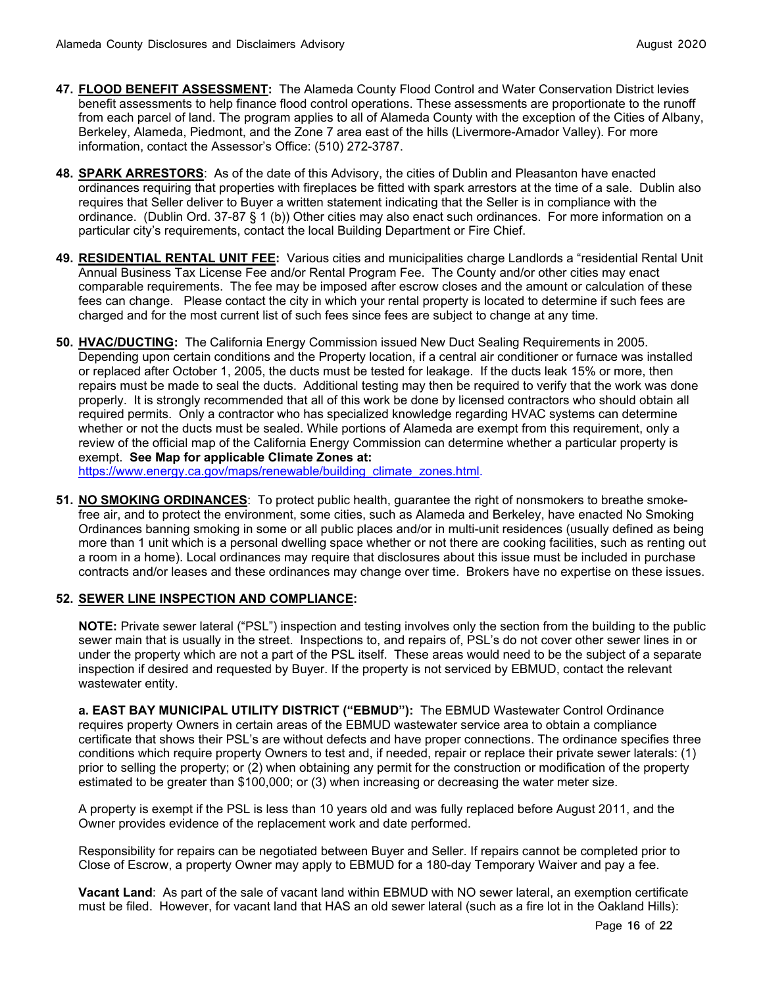- **47. FLOOD BENEFIT ASSESSMENT:** The Alameda County Flood Control and Water Conservation District levies benefit assessments to help finance flood control operations. These assessments are proportionate to the runoff from each parcel of land. The program applies to all of Alameda County with the exception of the Cities of Albany, Berkeley, Alameda, Piedmont, and the Zone 7 area east of the hills (Livermore-Amador Valley). For more information, contact the Assessor's Office: (510) 272-3787.
- **48. SPARK ARRESTORS**: As of the date of this Advisory, the cities of Dublin and Pleasanton have enacted ordinances requiring that properties with fireplaces be fitted with spark arrestors at the time of a sale. Dublin also requires that Seller deliver to Buyer a written statement indicating that the Seller is in compliance with the ordinance. (Dublin Ord. 37-87 § 1 (b)) Other cities may also enact such ordinances. For more information on a particular city's requirements, contact the local Building Department or Fire Chief.
- **49. RESIDENTIAL RENTAL UNIT FEE:** Various cities and municipalities charge Landlords a "residential Rental Unit Annual Business Tax License Fee and/or Rental Program Fee. The County and/or other cities may enact comparable requirements. The fee may be imposed after escrow closes and the amount or calculation of these fees can change. Please contact the city in which your rental property is located to determine if such fees are charged and for the most current list of such fees since fees are subject to change at any time.
- **50. HVAC/DUCTING:** The California Energy Commission issued New Duct Sealing Requirements in 2005. Depending upon certain conditions and the Property location, if a central air conditioner or furnace was installed or replaced after October 1, 2005, the ducts must be tested for leakage. If the ducts leak 15% or more, then repairs must be made to seal the ducts. Additional testing may then be required to verify that the work was done properly. It is strongly recommended that all of this work be done by licensed contractors who should obtain all required permits. Only a contractor who has specialized knowledge regarding HVAC systems can determine whether or not the ducts must be sealed. While portions of Alameda are exempt from this requirement, only a review of the official map of the California Energy Commission can determine whether a particular property is exempt. **See Map for applicable Climate Zones at:**

https://www.energy.ca.gov/maps/renewable/building\_climate\_zones.html.

**51. NO SMOKING ORDINANCES**: To protect public health, guarantee the right of nonsmokers to breathe smokefree air, and to protect the environment, some cities, such as Alameda and Berkeley, have enacted No Smoking Ordinances banning smoking in some or all public places and/or in multi-unit residences (usually defined as being more than 1 unit which is a personal dwelling space whether or not there are cooking facilities, such as renting out a room in a home). Local ordinances may require that disclosures about this issue must be included in purchase contracts and/or leases and these ordinances may change over time. Brokers have no expertise on these issues.

#### **52. SEWER LINE INSPECTION AND COMPLIANCE:**

**NOTE:** Private sewer lateral ("PSL") inspection and testing involves only the section from the building to the public sewer main that is usually in the street. Inspections to, and repairs of, PSL's do not cover other sewer lines in or under the property which are not a part of the PSL itself. These areas would need to be the subject of a separate inspection if desired and requested by Buyer. If the property is not serviced by EBMUD, contact the relevant wastewater entity.

**a. EAST BAY MUNICIPAL UTILITY DISTRICT ("EBMUD"):** The EBMUD Wastewater Control Ordinance requires property Owners in certain areas of the EBMUD wastewater service area to obtain a compliance certificate that shows their PSL's are without defects and have proper connections. The ordinance specifies three conditions which require property Owners to test and, if needed, repair or replace their private sewer laterals: (1) prior to selling the property; or (2) when obtaining any permit for the construction or modification of the property estimated to be greater than \$100,000; or (3) when increasing or decreasing the water meter size.

A property is exempt if the PSL is less than 10 years old and was fully replaced before August 2011, and the Owner provides evidence of the replacement work and date performed.

Responsibility for repairs can be negotiated between Buyer and Seller. If repairs cannot be completed prior to Close of Escrow, a property Owner may apply to EBMUD for a 180-day Temporary Waiver and pay a fee.

**Vacant Land**: As part of the sale of vacant land within EBMUD with NO sewer lateral, an exemption certificate must be filed. However, for vacant land that HAS an old sewer lateral (such as a fire lot in the Oakland Hills):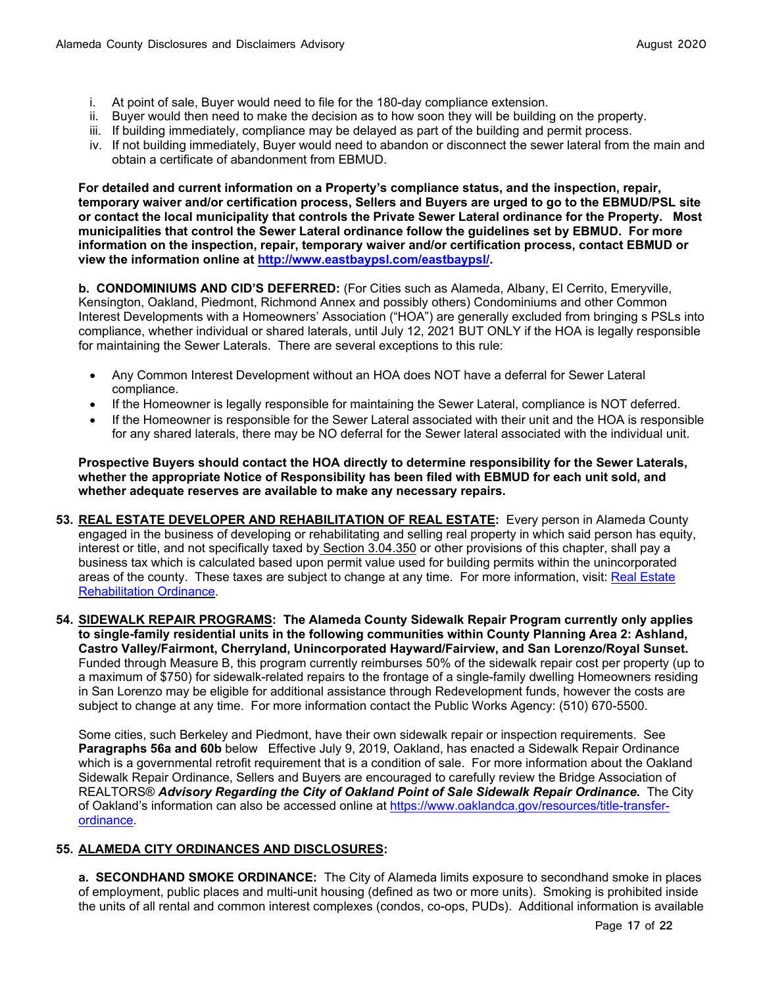- i. At point of sale, Buyer would need to file for the 180-day compliance extension.
- ii. Buyer would then need to make the decision as to how soon they will be building on the property.
- iii. If building immediately, compliance may be delayed as part of the building and permit process.
- iv. If not building immediately, Buyer would need to abandon or disconnect the sewer lateral from the main and obtain a certificate of abandonment from EBMUD.

**For detailed and current information on a Property's compliance status, and the inspection, repair, temporary waiver and/or certification process, Sellers and Buyers are urged to go to the EBMUD/PSL site or contact the local municipality that controls the Private Sewer Lateral ordinance for the Property. Most municipalities that control the Sewer Lateral ordinance follow the guidelines set by EBMUD. For more information on the inspection, repair, temporary waiver and/or certification process, contact EBMUD or view the information online at http://www.eastbaypsl.com/eastbaypsl/.**

**b. CONDOMINIUMS AND CID'S DEFERRED:** (For Cities such as Alameda, Albany, El Cerrito, Emeryville, Kensington, Oakland, Piedmont, Richmond Annex and possibly others) Condominiums and other Common Interest Developments with a Homeowners' Association ("HOA") are generally excluded from bringing s PSLs into compliance, whether individual or shared laterals, until July 12, 2021 BUT ONLY if the HOA is legally responsible for maintaining the Sewer Laterals. There are several exceptions to this rule:

- Any Common Interest Development without an HOA does NOT have a deferral for Sewer Lateral compliance.
- If the Homeowner is legally responsible for maintaining the Sewer Lateral, compliance is NOT deferred.
- If the Homeowner is responsible for the Sewer Lateral associated with their unit and the HOA is responsible for any shared laterals, there may be NO deferral for the Sewer lateral associated with the individual unit.

**Prospective Buyers should contact the HOA directly to determine responsibility for the Sewer Laterals, whether the appropriate Notice of Responsibility has been filed with EBMUD for each unit sold, and whether adequate reserves are available to make any necessary repairs.**

- **53. REAL ESTATE DEVELOPER AND REHABILITATION OF REAL ESTATE:** Every person in Alameda County engaged in the business of developing or rehabilitating and selling real property in which said person has equity, interest or title, and not specifically taxed by Section 3.04.350 or other provisions of this chapter, shall pay a business tax which is calculated based upon permit value used for building permits within the unincorporated areas of the county. These taxes are subject to change at any time. For more information, visit: Real Estate Rehabilitation Ordinance.
- **54. SIDEWALK REPAIR PROGRAMS: The Alameda County Sidewalk Repair Program currently only applies to single-family residential units in the following communities within County Planning Area 2: Ashland, Castro Valley/Fairmont, Cherryland, Unincorporated Hayward/Fairview, and San Lorenzo/Royal Sunset.** Funded through Measure B, this program currently reimburses 50% of the sidewalk repair cost per property (up to a maximum of \$750) for sidewalk-related repairs to the frontage of a single-family dwelling Homeowners residing in San Lorenzo may be eligible for additional assistance through Redevelopment funds, however the costs are subject to change at any time. For more information contact the Public Works Agency: (510) 670-5500.

Some cities, such Berkeley and Piedmont, have their own sidewalk repair or inspection requirements. See **Paragraphs 56a and 60b** below Effective July 9, 2019, Oakland, has enacted a Sidewalk Repair Ordinance which is a governmental retrofit requirement that is a condition of sale. For more information about the Oakland Sidewalk Repair Ordinance, Sellers and Buyers are encouraged to carefully review the Bridge Association of REALTORS® *Advisory Regarding the City of Oakland Point of Sale Sidewalk Repair Ordinance.* The City of Oakland's information can also be accessed online at https://www.oaklandca.gov/resources/title-transferordinance.

#### **55. ALAMEDA CITY ORDINANCES AND DISCLOSURES:**

**a. SECONDHAND SMOKE ORDINANCE:** The City of Alameda limits exposure to secondhand smoke in places of employment, public places and multi-unit housing (defined as two or more units). Smoking is prohibited inside the units of all rental and common interest complexes (condos, co-ops, PUDs). Additional information is available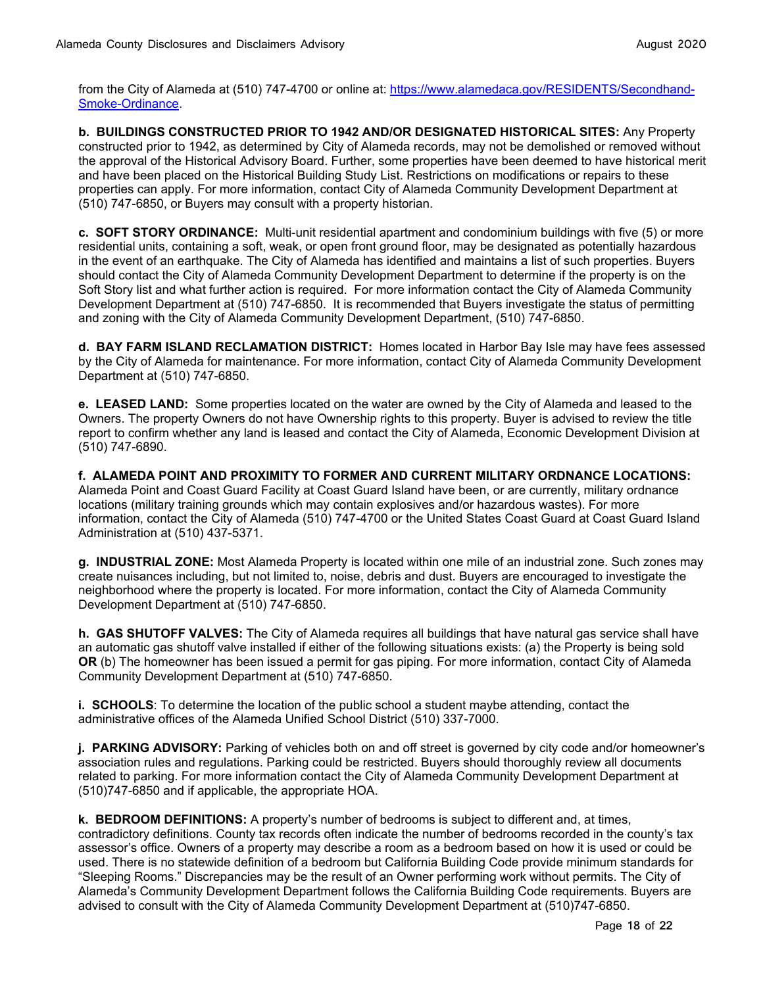from the City of Alameda at (510) 747-4700 or online at: https://www.alamedaca.gov/RESIDENTS/Secondhand-Smoke-Ordinance.

**b. BUILDINGS CONSTRUCTED PRIOR TO 1942 AND/OR DESIGNATED HISTORICAL SITES:** Any Property constructed prior to 1942, as determined by City of Alameda records, may not be demolished or removed without the approval of the Historical Advisory Board. Further, some properties have been deemed to have historical merit and have been placed on the Historical Building Study List. Restrictions on modifications or repairs to these properties can apply. For more information, contact City of Alameda Community Development Department at (510) 747-6850, or Buyers may consult with a property historian.

**c. SOFT STORY ORDINANCE:** Multi-unit residential apartment and condominium buildings with five (5) or more residential units, containing a soft, weak, or open front ground floor, may be designated as potentially hazardous in the event of an earthquake. The City of Alameda has identified and maintains a list of such properties. Buyers should contact the City of Alameda Community Development Department to determine if the property is on the Soft Story list and what further action is required. For more information contact the City of Alameda Community Development Department at (510) 747-6850. It is recommended that Buyers investigate the status of permitting and zoning with the City of Alameda Community Development Department, (510) 747-6850.

**d. BAY FARM ISLAND RECLAMATION DISTRICT:** Homes located in Harbor Bay Isle may have fees assessed by the City of Alameda for maintenance. For more information, contact City of Alameda Community Development Department at (510) 747-6850.

**e. LEASED LAND:** Some properties located on the water are owned by the City of Alameda and leased to the Owners. The property Owners do not have Ownership rights to this property. Buyer is advised to review the title report to confirm whether any land is leased and contact the City of Alameda, Economic Development Division at (510) 747-6890.

**f. ALAMEDA POINT AND PROXIMITY TO FORMER AND CURRENT MILITARY ORDNANCE LOCATIONS:**  Alameda Point and Coast Guard Facility at Coast Guard Island have been, or are currently, military ordnance locations (military training grounds which may contain explosives and/or hazardous wastes). For more information, contact the City of Alameda (510) 747-4700 or the United States Coast Guard at Coast Guard Island Administration at (510) 437-5371.

**g. INDUSTRIAL ZONE:** Most Alameda Property is located within one mile of an industrial zone. Such zones may create nuisances including, but not limited to, noise, debris and dust. Buyers are encouraged to investigate the neighborhood where the property is located. For more information, contact the City of Alameda Community Development Department at (510) 747-6850.

**h. GAS SHUTOFF VALVES:** The City of Alameda requires all buildings that have natural gas service shall have an automatic gas shutoff valve installed if either of the following situations exists: (a) the Property is being sold **OR** (b) The homeowner has been issued a permit for gas piping. For more information, contact City of Alameda Community Development Department at (510) 747-6850.

**i. SCHOOLS**: To determine the location of the public school a student maybe attending, contact the administrative offices of the Alameda Unified School District (510) 337-7000.

**j. PARKING ADVISORY:** Parking of vehicles both on and off street is governed by city code and/or homeowner's association rules and regulations. Parking could be restricted. Buyers should thoroughly review all documents related to parking. For more information contact the City of Alameda Community Development Department at (510)747-6850 and if applicable, the appropriate HOA.

**k. BEDROOM DEFINITIONS:** A property's number of bedrooms is subject to different and, at times, contradictory definitions. County tax records often indicate the number of bedrooms recorded in the county's tax assessor's office. Owners of a property may describe a room as a bedroom based on how it is used or could be used. There is no statewide definition of a bedroom but California Building Code provide minimum standards for "Sleeping Rooms." Discrepancies may be the result of an Owner performing work without permits. The City of Alameda's Community Development Department follows the California Building Code requirements. Buyers are advised to consult with the City of Alameda Community Development Department at (510)747-6850.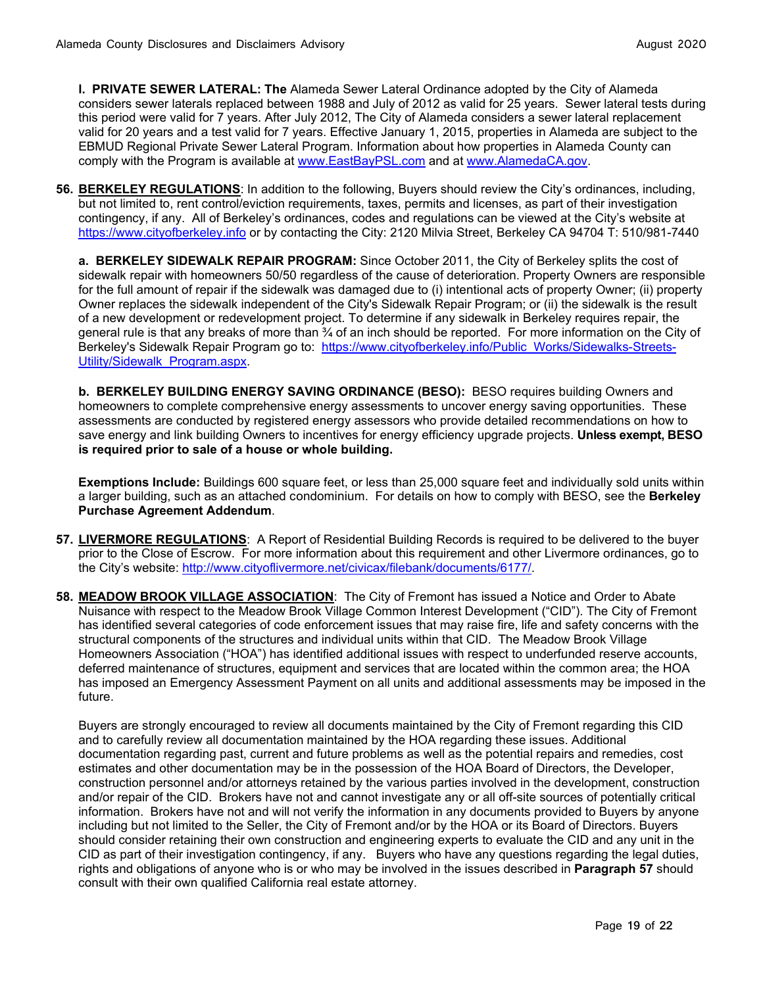**l. PRIVATE SEWER LATERAL: The** Alameda Sewer Lateral Ordinance adopted by the City of Alameda considers sewer laterals replaced between 1988 and July of 2012 as valid for 25 years. Sewer lateral tests during this period were valid for 7 years. After July 2012, The City of Alameda considers a sewer lateral replacement valid for 20 years and a test valid for 7 years. Effective January 1, 2015, properties in Alameda are subject to the EBMUD Regional Private Sewer Lateral Program. Information about how properties in Alameda County can comply with the Program is available at www.EastBayPSL.com and at www.AlamedaCA.gov.

**56. BERKELEY REGULATIONS**: In addition to the following, Buyers should review the City's ordinances, including, but not limited to, rent control/eviction requirements, taxes, permits and licenses, as part of their investigation contingency, if any. All of Berkeley's ordinances, codes and regulations can be viewed at the City's website at https://www.cityofberkeley.info or by contacting the City: 2120 Milvia Street, Berkeley CA 94704 T: 510/981-7440

**a. BERKELEY SIDEWALK REPAIR PROGRAM:** Since October 2011, the City of Berkeley splits the cost of sidewalk repair with homeowners 50/50 regardless of the cause of deterioration. Property Owners are responsible for the full amount of repair if the sidewalk was damaged due to (i) intentional acts of property Owner; (ii) property Owner replaces the sidewalk independent of the City's Sidewalk Repair Program; or (ii) the sidewalk is the result of a new development or redevelopment project. To determine if any sidewalk in Berkeley requires repair, the general rule is that any breaks of more than  $\frac{3}{4}$  of an inch should be reported. For more information on the City of Berkeley's Sidewalk Repair Program go to: https://www.cityofberkeley.info/Public\_Works/Sidewalks-Streets-Utility/Sidewalk\_Program.aspx.

**b. BERKELEY BUILDING ENERGY SAVING ORDINANCE (BESO):** BESO requires building Owners and homeowners to complete comprehensive energy assessments to uncover energy saving opportunities. These assessments are conducted by registered energy assessors who provide detailed recommendations on how to save energy and link building Owners to incentives for energy efficiency upgrade projects. **Unless exempt, BESO is required prior to sale of a house or whole building.**

**Exemptions Include:** Buildings 600 square feet, or less than 25,000 square feet and individually sold units within a larger building, such as an attached condominium. For details on how to comply with BESO, see the **Berkeley Purchase Agreement Addendum**.

- **57. LIVERMORE REGULATIONS**: A Report of Residential Building Records is required to be delivered to the buyer prior to the Close of Escrow. For more information about this requirement and other Livermore ordinances, go to the City's website: http://www.cityoflivermore.net/civicax/filebank/documents/6177/.
- **58. MEADOW BROOK VILLAGE ASSOCIATION**: The City of Fremont has issued a Notice and Order to Abate Nuisance with respect to the Meadow Brook Village Common Interest Development ("CID"). The City of Fremont has identified several categories of code enforcement issues that may raise fire, life and safety concerns with the structural components of the structures and individual units within that CID. The Meadow Brook Village Homeowners Association ("HOA") has identified additional issues with respect to underfunded reserve accounts, deferred maintenance of structures, equipment and services that are located within the common area; the HOA has imposed an Emergency Assessment Payment on all units and additional assessments may be imposed in the future.

Buyers are strongly encouraged to review all documents maintained by the City of Fremont regarding this CID and to carefully review all documentation maintained by the HOA regarding these issues. Additional documentation regarding past, current and future problems as well as the potential repairs and remedies, cost estimates and other documentation may be in the possession of the HOA Board of Directors, the Developer, construction personnel and/or attorneys retained by the various parties involved in the development, construction and/or repair of the CID. Brokers have not and cannot investigate any or all off-site sources of potentially critical information. Brokers have not and will not verify the information in any documents provided to Buyers by anyone including but not limited to the Seller, the City of Fremont and/or by the HOA or its Board of Directors. Buyers should consider retaining their own construction and engineering experts to evaluate the CID and any unit in the CID as part of their investigation contingency, if any. Buyers who have any questions regarding the legal duties, rights and obligations of anyone who is or who may be involved in the issues described in **Paragraph 57** should consult with their own qualified California real estate attorney.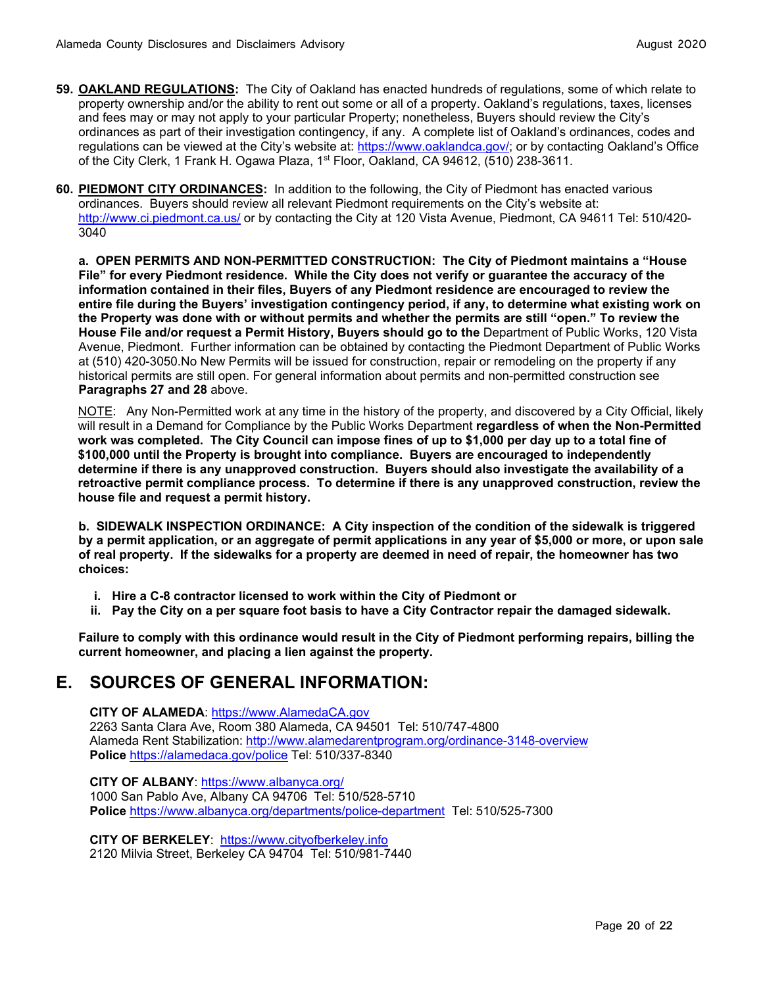- **59. OAKLAND REGULATIONS:** The City of Oakland has enacted hundreds of regulations, some of which relate to property ownership and/or the ability to rent out some or all of a property. Oakland's regulations, taxes, licenses and fees may or may not apply to your particular Property; nonetheless, Buyers should review the City's ordinances as part of their investigation contingency, if any. A complete list of Oakland's ordinances, codes and regulations can be viewed at the City's website at: https://www.oaklandca.gov/; or by contacting Oakland's Office of the City Clerk, 1 Frank H. Ogawa Plaza, 1<sup>st</sup> Floor, Oakland, CA 94612, (510) 238-3611.
- **60. PIEDMONT CITY ORDINANCES:** In addition to the following, the City of Piedmont has enacted various ordinances. Buyers should review all relevant Piedmont requirements on the City's website at: http://www.ci.piedmont.ca.us/ or by contacting the City at 120 Vista Avenue, Piedmont, CA 94611 Tel: 510/420-3040

**a. OPEN PERMITS AND NON-PERMITTED CONSTRUCTION: The City of Piedmont maintains a "House File" for every Piedmont residence. While the City does not verify or guarantee the accuracy of the information contained in their files, Buyers of any Piedmont residence are encouraged to review the entire file during the Buyers' investigation contingency period, if any, to determine what existing work on the Property was done with or without permits and whether the permits are still "open." To review the House File and/or request a Permit History, Buyers should go to the** Department of Public Works, 120 Vista Avenue, Piedmont. Further information can be obtained by contacting the Piedmont Department of Public Works at (510) 420-3050.No New Permits will be issued for construction, repair or remodeling on the property if any historical permits are still open. For general information about permits and non-permitted construction see **Paragraphs 27 and 28** above.

NOTE: Any Non-Permitted work at any time in the history of the property, and discovered by a City Official, likely will result in a Demand for Compliance by the Public Works Department **regardless of when the Non-Permitted work was completed. The City Council can impose fines of up to \$1,000 per day up to a total fine of \$100,000 until the Property is brought into compliance. Buyers are encouraged to independently determine if there is any unapproved construction. Buyers should also investigate the availability of a retroactive permit compliance process. To determine if there is any unapproved construction, review the house file and request a permit history.** 

**b. SIDEWALK INSPECTION ORDINANCE: A City inspection of the condition of the sidewalk is triggered by a permit application, or an aggregate of permit applications in any year of \$5,000 or more, or upon sale of real property. If the sidewalks for a property are deemed in need of repair, the homeowner has two choices:**

- **i. Hire a C-8 contractor licensed to work within the City of Piedmont or**
- **ii. Pay the City on a per square foot basis to have a City Contractor repair the damaged sidewalk.**

**Failure to comply with this ordinance would result in the City of Piedmont performing repairs, billing the current homeowner, and placing a lien against the property.**

### **E. SOURCES OF GENERAL INFORMATION:**

**CITY OF ALAMEDA**: https://www.AlamedaCA.gov

2263 Santa Clara Ave, Room 380 Alameda, CA 94501 Tel: 510/747-4800 Alameda Rent Stabilization: http://www.alamedarentprogram.org/ordinance-3148-overview **Police** https://alamedaca.gov/police Tel: 510/337-8340

**CITY OF ALBANY**: https://www.albanyca.org/ 1000 San Pablo Ave, Albany CA 94706 Tel: 510/528-5710 **Police** https://www.albanyca.org/departments/police-department Tel: 510/525-7300

**CITY OF BERKELEY**: https://www.cityofberkeley.info 2120 Milvia Street, Berkeley CA 94704 Tel: 510/981-7440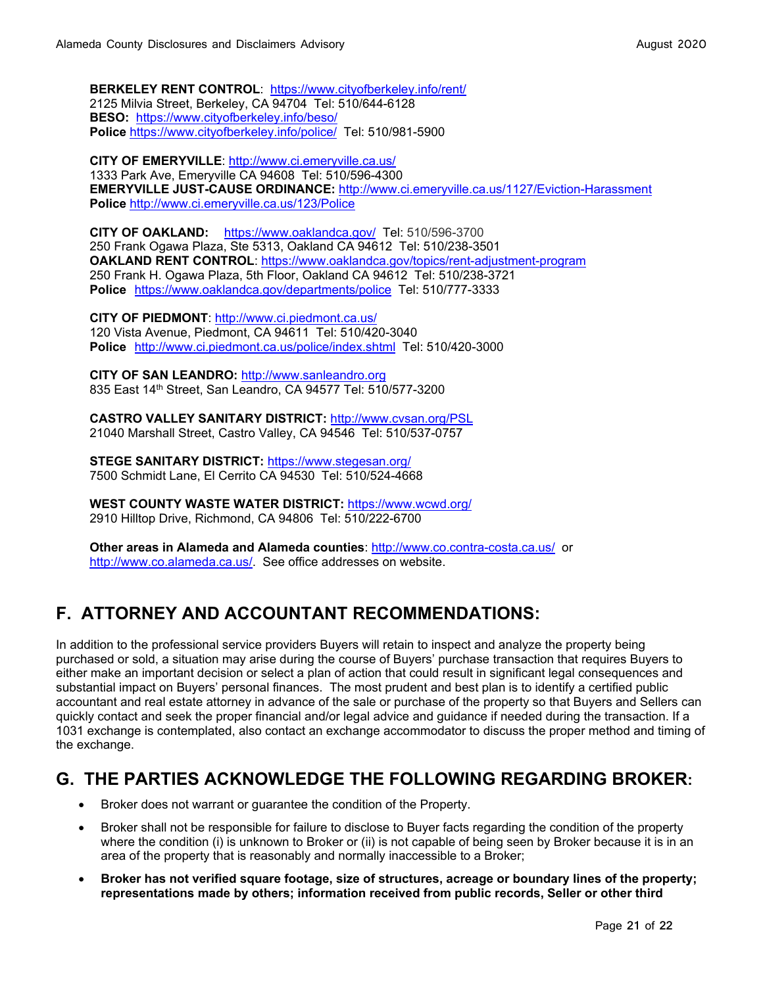**BERKELEY RENT CONTROL**: https://www.cityofberkeley.info/rent/ 2125 Milvia Street, Berkeley, CA 94704 Tel: 510/644-6128 **BESO:** https://www.cityofberkeley.info/beso/ **Police** https://www.cityofberkeley.info/police/ Tel: 510/981-5900

**CITY OF EMERYVILLE**: http://www.ci.emeryville.ca.us/ 1333 Park Ave, Emeryville CA 94608 Tel: 510/596-4300 **EMERYVILLE JUST-CAUSE ORDINANCE:** http://www.ci.emeryville.ca.us/1127/Eviction-Harassment **Police** http://www.ci.emeryville.ca.us/123/Police

**CITY OF OAKLAND:** https://www.oaklandca.gov/ Tel: 510/596-3700 250 Frank Ogawa Plaza, Ste 5313, Oakland CA 94612 Tel: 510/238-3501 **OAKLAND RENT CONTROL**: https://www.oaklandca.gov/topics/rent-adjustment-program 250 Frank H. Ogawa Plaza, 5th Floor, Oakland CA 94612 Tel: 510/238-3721 **Police** https://www.oaklandca.gov/departments/police Tel: 510/777-3333

**CITY OF PIEDMONT**: http://www.ci.piedmont.ca.us/ 120 Vista Avenue, Piedmont, CA 94611 Tel: 510/420-3040 **Police** http://www.ci.piedmont.ca.us/police/index.shtml Tel: 510/420-3000

**CITY OF SAN LEANDRO:** http://www.sanleandro.org 835 East 14th Street, San Leandro, CA 94577 Tel: 510/577-3200

**CASTRO VALLEY SANITARY DISTRICT:** http://www.cvsan.org/PSL 21040 Marshall Street, Castro Valley, CA 94546 Tel: 510/537-0757

**STEGE SANITARY DISTRICT:** https://www.stegesan.org/ 7500 Schmidt Lane, El Cerrito CA 94530 Tel: 510/524-4668

**WEST COUNTY WASTE WATER DISTRICT:** https://www.wcwd.org/ 2910 Hilltop Drive, Richmond, CA 94806 Tel: 510/222-6700

**Other areas in Alameda and Alameda counties**: http://www.co.contra-costa.ca.us/ or http://www.co.alameda.ca.us/. See office addresses on website.

# **F. ATTORNEY AND ACCOUNTANT RECOMMENDATIONS:**

In addition to the professional service providers Buyers will retain to inspect and analyze the property being purchased or sold, a situation may arise during the course of Buyers' purchase transaction that requires Buyers to either make an important decision or select a plan of action that could result in significant legal consequences and substantial impact on Buyers' personal finances. The most prudent and best plan is to identify a certified public accountant and real estate attorney in advance of the sale or purchase of the property so that Buyers and Sellers can quickly contact and seek the proper financial and/or legal advice and guidance if needed during the transaction. If a 1031 exchange is contemplated, also contact an exchange accommodator to discuss the proper method and timing of the exchange.

# **G. THE PARTIES ACKNOWLEDGE THE FOLLOWING REGARDING BROKER:**

- Broker does not warrant or guarantee the condition of the Property.
- Broker shall not be responsible for failure to disclose to Buyer facts regarding the condition of the property where the condition (i) is unknown to Broker or (ii) is not capable of being seen by Broker because it is in an area of the property that is reasonably and normally inaccessible to a Broker;
- **Broker has not verified square footage, size of structures, acreage or boundary lines of the property; representations made by others; information received from public records, Seller or other third**